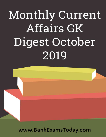

www.BankExamsToday.com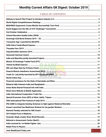# TABLE OF CONTENTS

| www.BankExamsToday.com<br>$\overline{1}$ |  |
|------------------------------------------|--|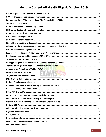| 49 |
|----|
|    |
|    |
|    |
|    |
|    |
|    |
|    |
|    |
|    |
|    |
|    |
|    |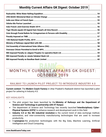# MONTHLY CURRENT AFFAIRS GK DIGEST: OCTOBER 2019

# <span id="page-4-0"></span>RAILWAY TO LAUNCH PILOT PROJECT TO INTRODUCE INDUSTRY 4.0

**Current context:** The **Modern Coach Factory** in Uttar Pradesh's Raebareli district has launched a pilot project for ushering in Industry 4.0.

- The pilot project has been launched by the **Ministry of Railways and the Department of Science and Technology in partnership with IIT Kanpur.**
- The department of Science and Technology has recently launched **'Interdisciplinary Cyber-Physical Systems (ICPS)'** to enhance research and development work in this field.
- **Industry 4.0 or the 4th industrial revolution** is the current trend of data exchange method, automation, and inter-connectivity manufacturing technologies that are used to increase productivity.
- It **synergises** the production technologies with the Big Data, Machine Learning, Artificial Intelligence and Cloud Computing.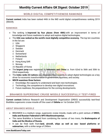# WORLD DIGITAL COMPETITIVENESS RANKINGS

<span id="page-5-0"></span>**Current context:** India has been ranked 44th in the IMD world digital competitiveness ranking 2019 (WDCR).

#### RANKINGS

- The ranking is **improved by four places (from 48th)** with an improvement in terms of knowledge and future readiness to adopt and explore digital technologies.
- The **USA was ranked as the world's most digitally competitive economy.** The top ten countries in the list are:
	- *1.* USA
	- *2.* Singapore
	- *3.* Sweden
	- *4.* Denmark
	- *5.* Switzerland
	- *6.* Netherlands
	- *7.* Finland
	- *8.* Hong Kong SAR
	- *9.* Norway
	- *10.* Republic of Korea
- The **largest jump** was registered by **Indonesia and China** i.e. from 62nd to 56th and 30th to 22nd respectively.
- The **Index ranks 63 nations** and measures their capacity to adopt digital technologies as a key driver for economic transformation in government, business, and society.
- **WDCR examines three factors:**
	- *1.* Knowledge, the capacity to understand and learn new technologies.
	- *2.* Technology, the competence to develop new digital innovations.
	- *3.* Future readiness, the preparedness for the coming developments.

# <span id="page-5-1"></span>BRAHMOS SUPERSONIC CRUISE MISSILE SUCCESSFULLY TEST-FIRED

**Current context:** Defence Research and Development Organization (DRDO) successfully test-fired BrahMos supersonic cruise missile off the coast of **Odisha** on 1st October 2019.

## ABOUT BRAHMOS MISSILE

- BRAHMOS is a medium range, supersonic cruise missile, made with a joint venture of **DRDO, India and Russian Federation's NPO Mashinostroyeniya.**
- The name BrahMos is formed from combining the names of two rivers, the **Brahmaputra of India and the Moskva of Russia.**
- It can be fired both from **land, aircraft, ships as well as sea- based platforms or submarines,** with a strike range of 290km.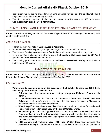- It is currently under testing phase for submarine-launched versions and the land-launched and ship-launched versions are already in service.
- The first extended version of the missile, having a strike range of 450 Kilometres was **successfully tested on 11th March 2017.**

# <span id="page-6-0"></span>SUMIT NAGPAL WON THE TITLE OF ATP CHALLENGER TOURNAMENT

**Current context:** Sumit Nagpal clinched the men's singles title of ATP Challenger Tournament, held on 30th September 2019.

#### ABOUT SUMIT NAGPAL

- The tournament was held at **Buenos Aires in Argentina.**
- He defeated **Facundo Bognis** by straight-sets 6-4, 6-2 in an hour and 37 minutes.
- The Haryana Tennis player became the **first Indian** to win on South American clay court.
- It won his 2nd challenger title after winning the **Bengaluru Challenger event in 2017** and grabbed his **Grand Slam debut** last month.
- <span id="page-6-1"></span> The winning performance has made him to achieve a **career-best ranking of 135,** with a sudden jump of 26 spots.

# 2ND OCTOBER CELEBRATION

**Current context:** Birth Anniversary of the Father of the Nation **Mahatma Gandhi** and Former Prime Minister **Lal Bahadur Shastri** is being celebrated on 2nd October 2019.

- **Various events that took place on the occasion of 2nd October to mark the 150th birth anniversary of the Father of the nation are:**
	- o **Palestine** released a **commemorative postage stamp on Mahatma Gandhi** in his honour.
	- o An **exhibition** dedicated to the mutual influences of **Mahatma Gandhi and Leo Tolstoy** on each other's work is organised by the Indian Embassy in **Moscow** in collaboration with the Russian State Duma.
	- o **"Khadi Nepal" fashion show** ensembling Khadi and handloom couture from **India and Nepal** were organised in **Kathmandu on the eve of Gandhi Jayanti.**
	- o **'Fit India Plog run'** has been flagged off by the Union Sports Minister Kiren Rijiju at Indira Gandhi stadium in New Delhi. **Plogging** is a concept in which participants pick up plastic and other waste from the road while jogging that ultimately benefits health and make a clean environment.
	- o **NITI Aayog's Atal Tinkering Labs (ATL) and UNICEF India,** have launched **'The Gandhian Challenge'.** The contest – open for every child in India from 2nd October to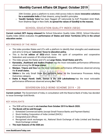20th October, gives a platform to every child across India to ideate **innovative solutions for a sustainable India** of their dreams, using Gandhi's principles.

o **'Gandhi Sankalp Yatra'** has been flagged off nationwide by BJP President Amit Shah, from Shalimar Bagh in New Delhi, **to spread the values of Gandhiji to the masses.**

# SCHOOL EDUCATION QUALITY INDEX (SEQI)

<span id="page-7-0"></span>**Current context: NITI Aayog released** the School Education Quality Index (SEQI). School Education Quality Index (SEQI) evaluates the **performance of States and Union Territories (UTs) in the school education sector.**

#### KEY FINDINGS OF THE INDEX

- The index provides States and UTs with a platform to identify their strengths and weaknesses and aims to bring an **'outcomes' focus to education policy.**
- This is the **1st edition of SEQI** which foster the spirit of competitive and cooperative federalism and consists of 30 critical indicators.
- The index groups the States and UTs as **Large States, Small States and UTs.**
- **Karnataka, Jharkhand and Andhra Pradesh** has the most noticeable performance differences observed among the **20 large states.**
- **Manipur, Tripura and Goa** has the most noticeable performance differences observed among the **8 small states.**
- **Sikkim** is the only Small State that performs better on the Governance Processes Aiding Outcomes category.
- <span id="page-7-1"></span> **Dadra & Nagar Haveli. Delhi, Daman & Diu and Lakshadweep** has the most noticeable performance differences observed among **the 7 UTs.**

# SOVEREIGN GOLD BOND SCHEME 2019 – 20

**Current context:** The Government of India, in consultation with the Reserve Bank of India, has decided to issue Sovereign Gold Bonds.

## KEY HIGHLIGHTS

- The SGB will be issued in **six tranches from October 2019 to March 2020.**
- **The Bonds will be sold through:**
	- *1.* Scheduled Commercial banks (except Small Finance Banks and Payment Banks)
	- *2.* Stock Holding Corporation of India Limited (SHCIL)
	- *3.* Designated post offices
	- *4.* Recognised stock exchanges viz., National Stock Exchange of India Limited and Bombay Stock Exchange Limited
- **The main features of the SGB are:**

#### **www.BankExamsToday.com** 7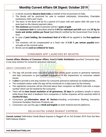- *1.* It will be issued by **Reserve Bank India** on behalf of the Government of India.
- *2.* The Bonds will be restricted for sale to resident individuals, Universities, Charitable Institutions, HUFs and Trusts
- *3.* The tenor of the Bond will be for a period of 8 years with exit option after 5th year to be exercised on the interest payment dates.
- *4.* **The minimum** permissible investment will be **1 gram of gold.**
- *5.* The **maximum limit** of subscribed shall be **4 KG for individual and HUF** each and **20 Kg for trusts and similar entities per fiscal** (April-March) notified by the Government from time to time.
- *6.* In case of **joint holding, the investment limit of 4 KG** will be applied to the **first applicant only.**
- *7.* The investors will be compensated at a fixed rate of **2.50 % per annum payable** semiannually on the nominal value.
- <span id="page-8-0"></span>*8.* Bonds can be **used as collateral for loans.**

# 'CONSUMER APP' LAUNCHED BY MCAFPD

**Current affairs: Ministry of Consumer Affairs, Food & Public Distribution** launched 'Consumer App': A one stop solution for consumer grievance redressal'.

#### ABOUT CONSUMER APP

- The App will provide every consumer across the nation, quick access to grievance redressal and help consumers to give valuable suggestions to the Department on consumer related issues.
- It **aims** to provide a one stop solution for consumer grievance redressal via mobile phones.
- The complaint status under the app will be monitored on a daily basis by the ministry.
- The registered consumer will be informed about their complaint via SMS/E-mail with a unique number which can be tracked by the consumer.
- There will be **time bound resolution of all grievances, 20 days** for problems simple in nature while those that elicit a feedback from companies or further enquiries will be resolved within **2 months/60 days.**
- Consumers get **information about 42 Sectors** including e-commerce, Banking, Insurance, Consumer Durables, Electronic Products, etc.
- <span id="page-8-1"></span>Consumers can use this app in **Hindi and English** on both Android and IoS platforms.

# DELHI-KATRA VANDE BHARAT EXPRESS

**Current context:** Delhi-Katra Vande Bharat Express is flagged off on 3rd October 2019 from the New Delhi Railway Station.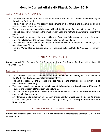#### ABOUT VANDE BHARAT EXPRESS

- The train with number 22439 is operated between Delhi and Katra, the last station on way to the Vaishno Devi temple.
- The train operation aims the **speedy development of the Jammu and Kashmir** region and make it par with the other states.
- This will also improve **connectivity along with spiritual tourism** of devotees to Vaishno Devi.
- The high speed train will reduce the time between Delhi and Katra to **8 hours from currently 12 hours.**
- The train will run on a daily basis and will depart from New Delhi at 6 am and reach Katra at 2 pm. And will return on the same day, leave the katra station at 3 pm.
- The train has the facilities of GPS Based information system , onboard Wi-Fi internet, CCTV Surveillance and Bio vacuum toilet.
- <span id="page-9-0"></span> The **first Vande Bharat Express** train was operated between **Delhi to Varanasi** in February 2019.

## 'PARYATAN PARV 2019'

**Current context:** The Paryatan Parv 2019 was started from 2nd October 2019 and will continue till 13th October 2019.

PYA RRA

#### KEY FACTS

- The nationwide parv is celebrated to **promote tourism in the country** and is dedicated to the **150th birth Anniversary of Mahatma Gandhi.**
- The **aim** is to propagate the message of **Dekho Apna Desh** to encourage people to visit tourist destinations of the country.
- The parv is **jointly conducted** by the **Ministry of Information and Broadcasting, Ministry of Tourism and Ministry of Petroleum and Natural Gas.**
- The tourists data given by the Ministry of Tourism shows that about **1.05 crore tourists** are coming to India **every year.**
- <span id="page-9-1"></span>• An interactive digital exhibition on - Swachh Bharat, Sashkat Bharat, Bapu Ke Sapno Ka Bharat was also inaugurated at the occasion. It is organized by the **Ministry of Information and Broadcasting.**

#### VAYOSHRESHTHA SAMMAN-2019

**Current context:** President Ram Nath Kovind will confer the Vayoshreshtha Samman-2019 on 3rd October 2019.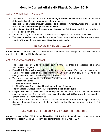#### ABOUT VAYOSHRESHTHA SAMMAN

- The award is presented to the **institutions/organisations/individuals** involved in rendering distinguished **service for the cause of elderly persons.**
- It is a scheme of awards gradually upgraded to the status of **National Awards** and is instituted by the **Social Justice and Empowerment Ministry.**
- **International Day of Older Persons was observed on 1st October** and these awards are presented as a part of it.
- International Day of Older Persons is celebrated every year on 1st October since **2005.**
- <span id="page-10-0"></span> The award **intends** to shoe-case the government's concern towards the Vulnerable and weaker section and strengthening their legitimate place in the society.

## SARASWATI SAMMAN AWARD

**Current context:** Vice President, M Venkaiah Naidu conferred the prestigious Saraswati Samman award, conferred by the KK Birla Foundation.

#### ABOUT SARASWATI SAMMAN AWARD

- The award was given to the Telegu poet K Siva Reddy for his collection of poems titled **Pakkaki Ottigilite.**
- **Pakkaki Ottigilite** which was published in **2016,** is an anthology of 104 poems in blank verse. It captures the responses of the poet over the evolution of his own self, the years to social change, and his dynamic relationship with the world.
- Three awards are instituted by the KK Birla Foundation in the field of literature:
	- 1. Saraswati Samman
	- 2. Vyas Samman (for Hindi)
	- 3. Bihari Puraskar (for Hindi and Rajasthani writers of Rajasthan)
- The foundation was founded in **1991** to **promote Indian art and culture.**
- **Chayan Parishad, or selection committee** picks the awardees which includes renowned scholars and writers. The committee was **headed by Subhash C Kashyap,** a former secretary general of the Lok Sabha secretariat.
- <span id="page-10-1"></span> Some of the Past recipients of the Saraswati Samman include writers Vijay Tendulkar, Shamsur Rahman Faruqi and Dr Indira Parthasarathy Ramanujar, poet Harivansh Rai Bachchan.

## INDIA AND MAURITIUS JOINTLY LAUNCHED PROJECTS

**Current context:** Indian PM Modi and **Mauritian PM Pravind Jugnauth** jointly inaugurated two landmark projects in Mauritius through video conferencing on 3rd October 2019.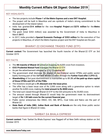#### KEY HIGHLIGHTS

- The two projects include **Phase-1 of the Metro Express and a new ENT Hospital.**
- The project will be built in Mauritius and are symbols of India's strong commitment to the development of the Island nation.
- India has granted **\$14 million** for the new **Hospital Project** and **\$275 million** for the **Metro Express project.**
- The grant (total \$353 million) was awarded by the Government of India to Mauritius in March **2017.**
- <span id="page-11-0"></span>• In 2017, India provided a **Special Economic Package of \$353 million** for the execution of five projects in Mauritius, of which the Metro Express project and the ENT hospital are the part.

# BHARAT-22 EXCHANGE TRADED FUND (ETF)

**Current context:** The Government has launched the fourth tranche of the Bharat-22 ETF on 3rd October 2019.

#### KEY FACTS

- The 4th tranche of Bharat-22 aimed at mopping Rs 8,000 crore from investors.
- **ICICI Prudential Mutual Fund** manages the Bharat-22 ETF.
- As per the advertisement released by ICICI Prudential MF:
- The government shall disinvest the shares of non-financial sector CPSEs and public sector banks forming part of the S&P BSE Bharat 22 index through the **Further Fund offer 2 (FFO-2).**
- **Shareholding** of GoI post disinvestment is maintained up to **51.5% of the paid-up share capital of those CPSEs and 52% of the PSBs.**
- The investors would get a **3% discount over the issue price.**
- The offer has a base issue size of Rs 2,000 crore along with a greenshoe option to retain another Rs 6,000 crore, making the **total amount to Rs 8000 crore.**
- The total sum raised through Bharat-22 ETF to the GOI amounts to Rs 35,900 crore.
- The amount raised through Bharat-22 would help the government meet its disinvestment target of **Rs 1.05 lakh crore for the current financial year.**
- Public sector enterprises like ONGC, IOC, SBI, BPCL, Coal India and Nalco are the part of Bharat-22.
- <span id="page-11-1"></span> **State Bank of India (SBI). Indian Bank and Bank of Baroda** are the only three public sector banks that figure in Bharat-22 index.

## 'SARBAT DA BHALA EXPRESS'

**Current context:** Train 'Sarbat Da Bhala Express' was flagged off at New Delhi railway station on 3rd October 2019.

**www.BankExamsToday.com** 11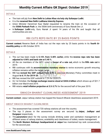#### DETAILS

- The train will ply from **New Delhi to Lohian Khas via holy city Sultanpur Lodhi.**
- It is the **renamed New Delhi-Ludhiana Intercity Express.**
- Union Minister Harsimrat Kaur Badal requested to rename the train on the occasion of the **550th Parkash Purb** i.e. the 550th birth anniversary of Guru Nanak Dev Ji.
- <span id="page-12-0"></span>• In Sultanpur Lodhi only, Guru Nanak Ji spent 14 years of his life and taught that all communities are one.

## RBI CUTS REPO RATE BY 25 BASIS POINTS

**Current context:** Reserve Bank of India has cut the repo rate by 25 basis points in its **fourth bimonthly policy** on 4th October 2019.

#### **DETAILS**

- The cut has been made to **5.15% from 5.40% earlier,** while the **reverse repo rate has been adjusted to 4.90% and bank rate at 5.40 %.**
- All the six members of the MPC voted in **favour of a rate cut,** which is the **fifth rate cut** in 2019.
- RBI continues with its **accommodative monetary stance** to revive economic growth ensuring inflation remains within the target range.
- RBI has **revised the GDP outlook from 6.9%** in previous Monetary Policy committee meet in August **to 6.1% for 2019-20.**
- RBI has revised the GDP outlook to 7.2% for 2020-21.
- On 1st October, the **foreign exchange reserve stood at \$434.6 billion** which shows up of \$21.7 billion over March-end 2019.
- <span id="page-12-1"></span>RBI retains **retail inflation projection at 3.5-3.7%** for the second half of the year 2019.

## SWACCH BHARAT CLEANLINESS ASSESSMENT 2019

**Current context:** Jaipur railway station has topped the Swacch Bharat cleanliness assessment 2019.

#### ABOUT SWACCH BHARAT CLEANLINESS

- The assessment has covered 720 railway stations all over the country.
- The top 3 places in the assessment survey are secured by **Jaipur, Jodhpur and Durgapur** respectively.
- The **parameters** taken for the survey include drinking water and sanitation management at different areas of railway stations, availability and cleanliness of toilets, waste management.
- The **North Western Railways headquartered at Jaipur** has maintained top rank consecutively for the second year.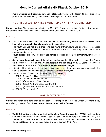<span id="page-13-0"></span> **Jaipur Junction and Gandhinagar Jaipur stations** have made the facility to treat single use plastic, and bottle crushing machines have been planted at the station.

# YOUTH CO: LAB JOINTLY LAUNCHED BY NITI AAYOG AND UNDP

**Current context:** Atal Innovation Mission (AIM), NITI Aayog and United Nations Development Programme (UNDP) India has jointly launched Youth Co: Lab in 4th October 2019.

#### KEY FACTS

- The **Youth Co: Lab** is launched with the aim of **accelerating social entrepreneurship and innovation in young India and promote youth leadership.**
- The Youth Co: Lab will give a chance to the young entrepreneurs and innovators, to connect with **governments, investors, mentors, incubators etc.** who will help equip them with entrepreneurial skills.
- Youth dialogue series will be convened across the cities to promote entrepreneurship across India.
- **Social innovation challenges** at the national and sub-national level will be convened by Youth Co: Lab that will target to invite young people in the age group of 18-29 years to showcase their ideas to tackle some of the **region's biggest social challenges.**
- It is critical for India to create a robust employment and entrepreneurship ecosystem, with the world's largest youth population entering the workforce every year.
- The first phase of Youth Co: Lab will focus on **six SDGs:**
	- 1. SDG 5 (Gender Equality)
	- 2. SDG 6 (Clean Water and Sanitation)
	- 3. SDG 7 (Affordable and Clean Energy)
	- 4. SDG 8 (Decent Work and Economic Growth)
	- 5. SDG 12 (Sustainable Consumption and Production)
	- 6. SDG 13 (Climate Action)

## WORLD COTTON DAY

<span id="page-13-1"></span>**Current context:** Smriti Irani, Textiles Minister will participate in the World Cotton Day from India, which being observed from **7th October to 11th October 2019 in Geneva.**

#### DETAILS

 **World Cotton Day is being organized by the World Trade Organisation (WTO)** in collaboration with the Secretariats of the United Nations Food and Agriculture Organization (FAO), the International Trade Centre (ITC) the International Cotton Advisory Committee (ICAC) and ) and the United Nations Conference on Trade and Development (UNCTAD).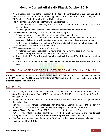- WTO is hosting the event at the request of the **Cotton – 4 countries, Benin, Burkina Faso, Chad and Mali.** The 4 countries in their official application to WTO had asked for the recognition of 7th October as World Cotton Day by the United Nations.
- The World Cotton Day will be observed with the **significance:**
	- 1. To celebrate the many advantages of cotton- its production, transformation, trade and consumption.
	- 2. To shed light on the challenges faced by cotton economies around the world.
- The **objective** of observing October, 7 as World Cotton Day is:
	- 1. To give exposure and recognition to cotton and all its stakeholders.
	- 2. To engage donors and beneficiaries and strengthen development assistance for cotton.
	- 3. Seek new collaborations with the private sector and investors in developing countries.
	- 4. At the event, a sculpture of Mahatma Gandhi made out of cotton will be displayed to commemorate his **150th birth anniversary.**
- WTO has recognized the Importance of cotton as:
	- 1. A single tonne of cotton provides year-round employment for five people on average.
	- 2. Cotton is a **drought-resistant crop ideal for arid climates.**
	- **3.** It occupies **just 2.1 % of the world's arable land, yet it meets 27% of the world's textiles need.**
	- 4. In addition to fibre, **food products** like edible oil and animal feed are also derived from the seed.

# <span id="page-14-0"></span>FINANCIAL ASSISTANCE FOR THE STATE OF KARNATAKA AND BIHAR

**Current context:** Union Minister for Home Affairs, Shri Amit Shah has approved the advance release of **Rs.400 crore and Rs.1200 crore to the State of Bihar and Karnataka** respectively, from **National Disaster Response Fund (NDRF).**

#### KEY FINDINGS

- The Ministry has further approved the advance release of 2nd instalment of **centre's share of State Disaster Response Fund (SDRF)** amounting to Rs.213.75 crore to the State of Bihar for the year 2019-20.
- During the South West Monsoon 2019, **13 States have been affected** from unprecedented floods/landslide.
- Ministry of Home Affairs constituted Inter **Ministerial Central Teams (IMCTs) for 13 States.** IMCTs has submitted the interim report in respect of Bihar and Karnataka.
- A **State Disaster Response Fund** (SDRF) has been constituted for each State.
- **75% of the SDRF fund** is contributed by the **Central Government** and for **General Category** States and **90% for North-Eastern and Hilly States** in each allocation year.
- The first relief expenditure charge is on **SDRF** and in the cases of severe calamities, it is supplemented from **NDRF.**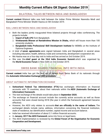# BILATERAL TALKS BETWEEN INDIA AND BANGLADESH

<span id="page-15-0"></span>**Current context:** Bilateral talks was held between the Indian Prime Minister Narendra Modi and Bangladesh Prime Minister Sheikh Hasina on 5th October 2019.

#### RAIL LINKS BETWEEN INDIA AND BANGLADESH

- Both the leaders jointly inaugurated three bilateral projects through video conferencing. The projects include:
	- 1. **Import of bulk LPG** from Bangladesh.
	- 2. **Vivekananda Bhavan at Ramakrishna Mission in Dhaka,** which will house more than 100 university students.
	- 3. **Bangladesh-India Professional Skill Development Institute** for MSMEs at the Institute of Diploma Engineers.
- A total of **seven agreements** were signed between India and Bangladesh in several areas including education, health, defence, trade and connectivity, development cooperation etc.
- Ms Hasina was on a four-day visit to India and has arrived on 3rd October 2019.
- <span id="page-15-1"></span> She was the **chief guest at the 33rd India Economic Summit** which was organised by the **World Economic Forum** in New Delhi on 3rd October 2019.

# SWISS BANK SHARED FINANCIAL INFO WITH INDIA

**Current context:** India has got the first set of details from Swiss Bank of its nationals through the **Automatic Information Exchange (AIE) procedure.**

#### ABOUT AUTOMATIC INFORMATION EXCHANGE

- **Switzerland Federal Tax Administration (FTA)** has exchanges information on financial accounts with 75 countries, about their nationals within the **AEOI (Automatic Exchange of Information) framework.**
- The next exchange of the details would take place in **September 2020.**
- The exchange on financial account include the currently active accounts as well as those accounts that were closed during 2018 (the year in which the framework agreement became effective).
- However, the AEOI only relates to accounts **that are officially in the name of Indians.** The exchanged details include name, address, information concerning the financial institution, state of residence, tax identification number, capital income and account balance.
- India has received information of about 3.1 million financial accounts.
- In **January, 2017 the AEOI framework** came into force on legal basis.
- The AEOI implementation is reviewed by the **Global Forum of the Organisation for Economic Cooperation and Development.**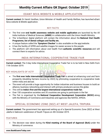# EDANT SEVA WEBSITE & MOBILE APPLICATION

<span id="page-16-0"></span>**Current context:** Dr Harsh Vardhan, Union Minister of Health and Family Welfare, has launched eDant Seva website & Mobile application.

#### KEY FACTS

- The first ever **oral health awareness website and mobile application** are launched by the All India Institute of Medical Sciences (**AIIMS**) in collaboration with the Union Health Ministry.
- The 'e-DantSeva' digital platform will contain the information about the **National Oral Health Programme, list of dental colleges and facility etc.**
- A unique feature called the **'Symptom Checker'** is also available on the app/website.
- It has the facility of GPRS and satellite images for easier access to the people.
- <span id="page-16-1"></span> The platform will information about oral health from **authentic scientific resources** and will connect them to experts for advice.

# INDIA INTERNATIONAL COOPERATIVE TRADE FAIR

**Current context:** The 3-day India International Cooperative Trade Fair is to be held in New Delhi from 11th October 2019.

## KEY HIGHLIGHTS OF IICTF

- The **first ever India International Cooperative Trade Fair** is aimed at enhancing rural and farm prosperity (doubling farmers income by 2022) by promoting cooperative to cooperative trade within India and abroad.
- The event will provide a huge opportunity for Indian industries and business houses to build an alliance, business networking and interact with primary producers across the globe.
- This will be **India's first and the largest international cooperatives trade fair.**
- Over 150 cooperative societies and 35 countries are going to participate in the fair.
- <span id="page-16-2"></span> The Fair is organised by the **National Cooperative Development Corporation (NCDC)** along with the Ministry of Commerce and Industries and agencies like NAFED, APEDA.

# SPECIAL ECONOMIC ZONE (SEZ) AT WEST JALEFA, TRIPURA

**Current context:** The government has approved setting up of a Special Economic Zone (SEZ) at West Jalefa in Sabroom subdivision of South Tripura on 4th October 2019.

#### **FEATURES**

 The decision was taken during the **92nd meeting of the Board of Approval (BoA)** under the Ministry of commerce.

**www.BankExamsToday.com** 16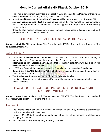- The Tripura government submitted a proposal in June this year, to the **Ministry of Industries and Commerce** for the setting of an agro-based SEZ at **Jalefa.**
- An estimated investment of around **Rs. 1550 crore** will be made in setting up **first-ever SEZ.**
- A **special economic zone (SEZ)** is a geographical region that has more liberal economic laws that a country's domestic economic laws and are approved for Agro and Food Processing sectors in India.
- <span id="page-17-0"></span> Under the plan, rubber thread, apparel making, bamboo, rubber-based industrial units, and food process units are proposed to be set up.

# 50TH INTERNATIONAL FILM FESTIVAL OF INDIA 2019

**Current context:** The 50th International Film Festival of India, IFFI 2019, will be held in Goa from 20th to 28th November 2019.

## ABOUT IFFI 2019

- The **Golden Jubilee edition of the festival** will showcase 200 best films from 76 countries, 26 feature films and 15 non-feature films in the Indian Panorama section.
- **Information and Broadcasting Ministry** said that for the **first time,** films with audio deion will be screened for the visually impaired.
- In 2019, the **Feature Film Jury** was headed by filmmaker and screenwriter **Priyadarshan.**
- **Gujarati film HELLARO** directed by Abhishek Shah is chosen as the Opening Feature Film of Indian Panorama, 2019.
- The **Non-Feature Jury** was headed by Filmmaker **Rajendra Janglay.**
- <span id="page-17-1"></span> The **film -- Nooreh** -- directed by Ashish Pandey is chosen as the Opening non-feature film of Indian Panorama.

## PM-ASMI TO INTEGRATE EXISTING SCHEMES TO FIGHT AGAINST MATERNAL MORTALITY

**Current context:** Health Minister Harsh Vardhan launched PM-ASMI (Pradhan Mantri – Assured and Safe Motherhood initiative) for infants and mothers.

#### KEY FACTS

- The Scheme **aims** to bring down maternal and infant death to zero by providing quality medical service to them in public healthcare.
- Through PM-ASMI both infrastructure and quality of service will be improved with taking care of dignity of women.
- PM- ASMI will do this by integrating following schemes: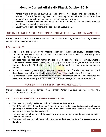- 1. **Janani Shishu Suraksha Karyakram** which provide free drugs and diagnostics, free provision of blood, free delivery, free diet (during stay in hospital or health institute), free transport from home to hospital etc. to pregnant women and infant.
- 2. **Pradhan Mantriva Abhiyan** under which free ante-nate check ups by private medical practitioners are provided to women.
- 3. **LaQshya** which aims to improve the condition of Labour rooms.

# <span id="page-18-0"></span>ASSAM LAUNCHED FREE MEDICINES SCHEME FOR TEA GARDEN WORKERS

**Current context:** The Assam Government has launched the Free Drug Scheme for giving medicinal security to the tea garden workers.

#### KEY HIGHLIGHTS

- The Free Drug scheme will provide medicines including 142 essential drugs, 47 surgical items, 45 consumables/linens and 6 numbers of disinfectants free of cost to 651 tea garden hospitals in the State garden.
- 20 crores will be allotted each year on this scheme. This scheme is similar to already available scheme **Mobile Medical Unit (MMU)** which was operational in 442 tea garden and has a wage compensation of Rs12,000 which given in four instalments to pregnant women working tea garden.
- Add to this Assam government is planning to reduce cost of foods under National Food Security Act i.e. rice from Rs3/kg to free 5kg rice/family and 2kg/family to 4 lakh family.
- <span id="page-18-1"></span> Government will also stress on setting up more educational institutes. These all measures are being taken as tea industry is in financial crisis due to price stagnation and overproduction.

## RAMESH PANDEY SELECTED FOR AEE AWARD

**Current context:** Indian Forest Service officer Ramesh Pandey has been selected for the Asia Environmental Enforcement Award.

#### ABOUT ASIA ENVIRONMENTAL ENFORCEMENT AWARD

- The award is given by **the United Nations Environment Programme.**
- The 1996-batch IFS officer, Ramesh Pandey is known for his **investigation and intelligence gathering on poachers** when he was posted as Chief Conservator Forests in Lucknow and Secretary, UP State Bio-diversity Board.
- The selection panel recognized the excellent work done by him in combating trans-boundary environmental crime.
- The award will be given to him on 13th November at **the United Nations Conference Centre in Bangkok.**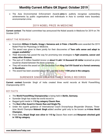<span id="page-19-0"></span> The Asia Environmental Enforcement Awards **aims** to publicly recognise outstanding achievements by public organisations and individuals in Asia to combat trans boundary environmental crime.

## 2019 NOBEL PRIZE IN MEDICINE

**Current context:** The Nobel committee has announced the Nobel awards in Medicine for 2019 on 7th October 2019.

#### ABOUT THE RESEARCH

- Scientists **William G Kaelin, Gregg L Semenza and Jr Peter J Ratcliffe** were awarded the 2019 Nobel Prize for Physiology or Medicine.
- The award was given to them jointly for their discoveries of **"how cells sense and adapt to oxygen availability".**
- Their discovery has paved the way for promising new strategies to **fight anaemia, cancer and many other diseases.**
- The sum of 9 million Swedish kronor or **about 9 Lakh 14 thousand US dollar** received as price would be shared between the three scientists.
- They will receive the award on 10th December from **King Carl XVI Gustaf at a formal ceremony in Stockholm.**
- <span id="page-19-1"></span>The award has been awarded since 1901, and this is the **110th prize in the category.**

# SURENDER SINGH CREATES THREE WORLD RECORDS

**Current context:** Surender Singh of India created three world records at World Powerlifting Championship 2019.

#### KEY FACTS

- The **World Powerlifting Championship** is being held in **Berlin, Germany.**
- Surender Singh has made the world record in:
- Bagged gold medal in **110 kg category Classic Raw.**
- The **Best Lifter Award in Classic Raw and Single Ply.**
- Under the superb guidance of International Coach Dronacharya Bhupender Dhawan, Threetime World Champion **Mukesh Singh** added another gold only to be known as **4-time World Champion.**
- <span id="page-19-2"></span> From India, **Nirpal Singh won silver in 110 kg** Classic Raw event and **Manpreet clinched gold in 100 kg category.**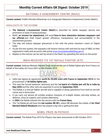# NATIONAL E-ASSESSMENT CENTRE (NEAC)

**Current context:** FinMin Nirmala Sitharaman is to inaugurate National e-Assessment Centre (NeAC).

#### HIGHLIGHTS OF THE SCHEME

- **The National e-Assessment Centre (NeAC)** is launched for better taxpayer service and promotion of ease of doing business.
- NeAC, **an Income tax department,** will avoid **face-to-face interaction between taxpayers and tax officials** and shall impart greater efficiency, transparency and accountability in the assessment process.
- The step will reduce taxpayer grievances in line with the prime minister's vision of 'Digital India'.
- As per the new system, the taxpayers will receive notices with real-time by way of SMS, on their registered e-mails and accounts web portal [www.incometaxindiaefiling.gov.in.](http://www.incometaxindiaefiling.gov.in/)
- <span id="page-20-0"></span>Replies to the notices can be sent by email to the NeAC by uploading the same on the portal.

# INDIA RECEIVED ITS 1ST RAFALE FIGHTER JETS

**Current context:** Defence Minister Rajnath Singh received the set of Rafale fighter jets from France on behalf of the Indian Air Force (IAF) on 8th October 2019.

#### KEY FACTS

- India had signed an agreement **worth Rs 59,000 crore with France in September 2016** for the procurement of **36 Rafale fighter jets.**
- This was the formal handover ceremony and the **1st batch of 4 Rafale jets will fly in India by May 2020** and the other sets are expected to arrive by **September 2022.**
- The Rafale is a twin-jet fighter aircraft and is capable of doing operations from both an aircraft carrier and a shore base.
- It can carry out almost all combat aviation missions of in-depth strikes, anti-ship strikes, air defence, close air support, and nuclear deterrence.
- **In 2004**, the Rafale entered into the service with the French Navy.
- <span id="page-20-1"></span> The 1st Rafale jet will have the **tail number RB 001,** where RB demotes the initials of **Air Chief Marshal Rakesh Bhadauria** who has played a big role in getting the deal.

# NOBEL PRIZE IN PHYSICS

**Current context:** The Nobel Prize 2019 for Physics has been announced on 8th October 2019.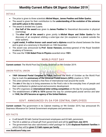#### DETAILS

- The prize is given to three scientists **Michel Mayor, James Peebles and Didier Queloz.**
- The award is given for their contribution to the **understanding of the evolution of the universe and earth's place in the cosmos.**
- The award is divided into 2 parts:
	- 1. **One half of the award** was given to **James Peebles** for theoretical discoveries in physical cosmology.
	- 2. The **other half of the award** is given jointly to **Michel Mayor and Didier Queloz** for the discovery of an exoplanet orbiting a solar-type star (An exoplanet is a planet outside the solar system).
- A **gold medal, 9-million kronor cash award and a diploma** would be shared between the three and is given at a ceremony in Stockholm on 10th December.
- The award was announced by **Prof. Goran Hansson,** secretary-general of the Royal Swedish Academy of Sciences.
- <span id="page-21-0"></span>This was the **113th Nobel Prize in Physics** awarded since **1901.**

## WORLD POST DAY

**Current context:** The World Post Day is being observed on 9th October 2019.

#### UNION POSTAL UNION

- **1969 Universal Postal Congress in Tokyo,** declared the Ninth of October as the World Post Day to mark the **anniversary of the Universal Postal Union's (UPU)** creation in 1874.
- The union aimed to maintain a free flow of international mail around the world.
- The **aim** of the day is to bring awareness to the Post's role in the everyday lives of people and their contribution to global social and economic development.
- The UPU organises an **international letter writing competition** on the day for young people.
- <span id="page-21-1"></span> The establishment of **UPU in 1874** opened the way for uninterrupted postal service and later in **1948, the UPU become an agency of the United Nations.**

# GOVT. ANNOUNCED 5% DA FOR CENTRAL EMPLOYEES

**Current context:** The government in its Cabinet meeting on 9th October 2019, has announced 5% Dearness Allowance for Central Government employees and pensioners.

#### KEY FACTS

- It will benefit 50 lakh Central Government employees and 65 lakh, pensioners.
- The DA is added as a Diwali gift from government and will be **paid from July 2019.**
- The government has also sanctioned a relief package for 5,300 **displaced Kashmiri families** in which they will be **given 5.5 lakh rupees per family.**

**www.BankExamsToday.com** 21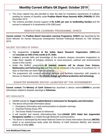- The Union cabinet has also decided to relax the date for mandatory requirement of Aadhaar seeding for release of benefits under **Pradhan Mantri Kisan Samman Nidhi (PMKSN)** till 30th November 2019.
- <span id="page-22-0"></span> The scheme provides income support of **Rs 6,000 per year to landholding families** and the amount is released in 4 instalments of Rs 2000 each.

## INNOVATION LEARNING PROGRAMME, DHRUV

**Current context:** The **Pradhan Mantri Innovation Learning Programme, DHRUV** was launched by the Union Minister for Human Resources Development Ramesh Pokhariyal Nishank on 10th October 2019.

#### SALIENT FEATURES OF DHRUV

- The programme is **started at the Indian Space Research Organization (ISRO)** and will **conclude on 24th of this month at IIT, Delhi.**
- It **aims** to provide skills and knowledge of the students, sharpen innovative imagination to make them capable of bringing solutions to socio-economic, political and environmental issues in the country.
- Under the DHRUV programme, **60 talented students will be chosen from Science, Mathematics and Performing Arts** and they will be mentored in the centre of excellence for 14 days so that they can reach their full potential.
- <span id="page-22-1"></span>• The programme will conduct workshop seminar and facilitate interaction with experts to discuss on National concern like **climate change agricultural production and technology.**

# DISASTER WARNING DEVICE LAUNCHED BY THE GOVERNMENT

**Current context:** The **Ministry of Earth Science** has launched a device named **GEMINI** to provide information related to disaster warnings to **fishermen.**

- GEMINI stands for **Gagan Enabled Mariner's Instrument for Navigation and Information.**
- The device will provide information about:
	- 1. Emergency information and communication on disaster warnings
	- 2. Potential Fishing Zones, PFZ
	- 3. The Ocean States Forecasts to fishermen
- It will transfer and receive information/data from **GAGAN (GPS Aided Geo Augmented Navigation) satellite** to a mobile through Bluetooth Communication.
- The device is developed by the Indian National Centre for Ocean Information Services (**INCOIS**) which is an autonomous body under the Ministry of Earth Sciences (MoES), and Airports Authority of India (**AAI**).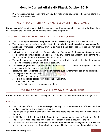<span id="page-23-0"></span> **PFZ forecasts** was launched by the Ministry that will provide advisories to fishermen along the coast three days in advance.

## MAHATMA GANDHI NATIONAL FELLOWSHIP PROGRAMME

**Current context:** The Ministry of Skill Development and Entrepreneurship along with IIM Bangalore has launched the Mahatma Gandhi National Fellowship Programme.

#### ABOUT MAHATMA GANDHI NATIONAL FELLOWSHIP PROGRAMME

- This is a **two-year fellowship programme** to boost skill development at the district level.
- The programme is designed under the **Skills Acquisition and Knowledge Awareness for Livelihood Promotion (SANKALP)** which is World Bank loan assisted project for skill development.
- It aims to address the challenge of non-availability of personnel for implementation of various programmes at state, district and National levels. It will blend the academic programme with the component of field immersion at the district level.
- The students are made to work with the district administration for strengthening the process of skilling to create a vibrant local district economy.
- The MGNF programme will provide the students an in-built component of on-ground practical experience with the district administration.
- It is launched in **75 districts** across Gujarat, Karnataka, and Uttarakhand etc. on a **pilot basis.**
- The **eligible students** should be :
	- 1. In 21-30 years age-group
	- 2. Have a graduation degree from a recognized university
	- 3. Is a citizens of India
	- 4. Have Proficiency in official language of state

# 'GARBAGE CAFE' IN CHHATTISGARH'S AMBIKAPUR

<span id="page-23-1"></span>**Current context:** Ambikapur city of Chhattisgarh has commenced the first-of-its-kind 'Garbage Cafe'.

#### KEY FACTS

- The 'Garbage Cafe' is run by the **Ambikapur municipal corporation** and the café provides free food in exchange for one kilogram of plastic.
- The Unique programme is open to everyone and the poor people and rag pickers are benefitted the most.
- Health Minister of Chhattisgarh **T. S. Singh Deo** has inaugurated the café on 9th October 2019.
- The breakfast will be provided only with half a kilogram of plastic, brought to the cafe.
- The collected plastic waste will be sold at **Solid-Liquid Resources Management Centre** which will then be turned into granules and will then be used in the construction of roads in the city.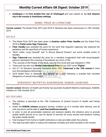<span id="page-24-0"></span> **Ambikapur** is the **first dustbin-free city of Chattisgarh** and was ranked as the **2nd cleanest city in the country in Swachhata rankings.**

## NOBEL PRIZE IN LITERATURE

**Current context:** The Nobel Prize 2019 and 2018 in literature has been announced on 10th October 2019.

#### DETAILS

- The Nobel Prize 2019 has been given to **Austrian author Peter Handke** and the Nobel Prize 2018 to **Polish writer Olga Tokarczuk.**
- **Peter Handke** was awarded the prize for his work that linguistic ingenuity has explored the periphery and the specificity of human experience.
- "Short Letter, Long Farewell" and "A Sorrow Beyond Dreams" are some notable works of Handke.
- **Olga Tokarczuk** was awarded the prize for a narrative imagination that with encyclopaedic passion represents the crossing of boundaries as a form of life.
- "The Journey of the People of the Book, was her first novel and was released in 1993.
- Tokarczuk has also won **Booker International Prize** for her 2007 novel **"Flights".**
- Out of 116 literature laureates honoured since 1901, **Tokarczuk is the 15th woman** to have won the prestigious distinction.
- <span id="page-24-1"></span>• 2018 Nobel Prize in literature was delayed by a year following a scandal that included allegations of sexual misconduct.

# SURAKSHIT MATRITVA AASHWASAN, SUMAN LAUNCHED

**Current context:** Ministry of Health and Family has launched Surakshit Matritva Aashwasan, SUMAN, initiative on 10th October 2019.

#### KEY FEATURES

- The initiative is launched at the 13th Conference of Central Council of Health and Family Welfare.
- Under the **SUMAN scheme,** pregnant women, mothers up to 6 months after delivery, and all sick new-borns will be able to **avail free healthcare benefits.**
- In order to end all preventable maternal and newborn deaths, the initiative aims to provide quality health service at no cost for denial of services for every woman and newborn visiting the public health facility.
- Free transport from home to health institutions is also provided under the scheme.
- The step has been taken to reduce the maternal mortality and child mortality in the country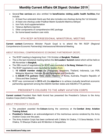- Several **free services** are also entitled for **beneficiaries visiting public health facilities**, that include:
	- 1. At least four antenatal check-ups that also includes one checkup during the 1st trimester
	- 2. At least one checkup under Pradhan Mantri Surakshit Matritva Abhiyan
	- 3. Iron Folic Acid supplementation
	- 4. Tetanus diptheria injection
	- 5. Other components of comprehensive ANC package
	- 6. Six home-based newborn care visits

# 9TH RCEP INTERSESSIONAL MINISTERIAL MEETING

<span id="page-25-0"></span>**Current context:** Commerce Minister Piyush Goyal is to attend the 9th RCEP (Regional Comprehensive Economic Partnership) Intersessional Ministerial Meeting.

#### ABOUT REGIONAL COMPREHENSIVE ECONOMIC PARTNERSHIP (RCEP)

- The RCEP meeting is beginning from 11th October at **Bangkok, Thailand.**
- This is the last ministerial meeting before the **3rd Leaders' Summit** slated which will be held on 4th November in **Bangkok.**
- The 28th round of negotiations for RCEP was concluded at **Da Nang, Vietnam** this year
- The RCEP negotiations were launched by leaders from:
	- 1. **10 ASEAN member states-** the Philippines, Singapore, Thailand, Indonesia, Lao PDR, Malaysia, Myanmar, Vietnam, Brunei Darussalam and Cambodia.
	- 2. **6 ASEAN FTA partners-** India, Japan, Republic of Korea, Australia, People's Republic of China and New Zealand.
- <span id="page-25-1"></span> RCEP was commenced in **2013** with the **objective** is to achieve mutually beneficial economic partnership agreement among the ASEAN member states and ASEAN's FTA partners.

# PRESIDENT'S COLOURS TO THE ARMY AVIATION CORPS

**Current context:** President Ram Nath Kovind has presented the President's Colours to the Army Aviation Corps (AAC) in Nashik.

#### ABOUT PRESIDENT'S COLOURS

- The president awarded the **Colours** during the ceremony at the **Combat Army Aviation Training School.**
- **President's Colours** is an acknowledgement of the meritorious service rendered by the Army Aviation Corps over the years.
- The Army Aviation Corps has been conferred with 2 Maha Vir Chakra, 115 Sena Medals, 16 Vir Chakra, 13 Shaurya Chakra and 45 Mention in Despatches.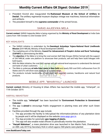- President Kovind also inaugurated the **Rudranaad Museum at the School of Artillery in Deolali.** The artillery regimental museum displays vintage war machines, historical information and artifacts.
- <span id="page-26-0"></span>The president himself is the **supreme commander** of the armed forces.

# SARAS AAJEEVIKA MELA

**Current context:** SARAS Aajeevika Mela is being organised by the **Ministry of Rural Development** at India Gate Lawns from 10th October to 23rd October 2019.

#### KEY HIGHLIGHTS

- The SARAS initiative is undertaken by the **Deendayal Antyodaya Yojana-National Rural Livelihoods Mission** (DAY-NRLM), Ministry of Rural Development (MoRD).
- The marketing arm of the Ministry, **Council for Advancement of People's Action and Rural Technology (CAPART)** is administering the Mela.
- The **objective** of the Mela is to bring the rural women Self Help Groups (SHGs) formed with the support of DAY-NRLM, under one platform to showcase their products, sell and help them build linkages with bulk buyers.
- With the Mela initiative, the rural SHG women will get national-level exposure to understand the demand and taste of urban customers.
- The Mela is underway **at India Gate Lawns in New Delhi** and nearly 500 rural SHG craftswomen from 29 States and UTs will show-case products of a varied range.
- <span id="page-26-1"></span>The products include handicrafts, a food court with regional cuisines, handlooms and natural food products.

# MOBILE APP, "MHARIYALI" LAUNCHED

**Current context:** Ministry of Housing & Urban Affairs has launched the mobile app, "mHariyali", on 11th October 2019.

#### HARYALI MAHOTSAV

- The mobile app, "**mHariyali**" has been launched for **'Environment Protection in Government Colonies'.**
- The app is **aimed** to encourage Public engagement in planting trees and other such Green drives.
- Facilities provided through the app include:
	- 1. The app provides the facility to link/upload the information/photos of any plantation done by people and it will be displayed on the website [www.epgc.gov.in.](http://www.epgc.gov.in/)
	- 2. The App provides for automatic **geo-tagging of plants.**
	- 3. This app will also enable nodal officers to periodically monitor the plantation.
- **"Haryali Mahotsav",** a mass plantation drive was launched in San Martin Park, Chanakyapuri on 28th July 2019 by Secretary HUA in which approx 500 plants were planted.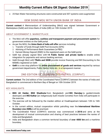<span id="page-27-0"></span>25 Rain Water Harvesting structures were constructed and 307 systems were augmented.

## GEM SIGNS MOU WITH UNION BANK OF INDIA

**Current context:** A Memorandum of Understanding (MoU) was signed between Government e-Marketplace (GeM) and Union Bank of India (UBI) on 10th October 2019.

#### ABOUT GOVERNMENT E- MARKETPLACE

- The MoU will offer **paperless, cashless and transparent payment and procurement system** for government entities on the GeM portal.
- As per the MOU, the **Union Bank of India will offer** services including:
	- 1. Transfer of funds through GeM Pool Accounts (GPA)
	- 2. Advising of Performance Bank Guarantees (e-PBG)
	- 3. Earnest Money Deposit (EMD) to the registered users on the GeM portal
- GeM has already signed MoU with **14 Public Sector and private banks** to enable online integration for payments and various banking services.
- GeM through MoU with **TReDs and SIDBI** provide invoice financing and Bill Discounting to the MSMEs registered on GeM.
- <span id="page-27-1"></span>**GeM** is a one stop platform for **online procurement of goods and services** required by various government departments, Public Sector Units etc. in a transparent manner.

# 2ND EDITION OF COORDINATED PATROL (CORPAT)

**Current context:** The 2nd edition of the Coordinated Patrol (CORPAT) between the navies of India and Bangladesh is commenced in Northern Bay of Bengal on 10th October 2019.

- **BNS Ali Haider, BNS Shadinota** from Bangladesh and **INS Ranvijay** (a guided-missile destroyer) and **INS Kuthar** (an indigenously built missile Corvette) from India will participate in the exercise.
- The exercise will be followed by the maiden edition at Visakhapatnam between 12th to 16th October.
- In the current edition, mutual cooperation whilst patrolling near the **International Maritime Boundary Line (IMBL)** will be practised.
- The Coordinated Patrol (CORPAT) exercise was commenced in **2018** and aims at the development of mutual communication and sharing of best practices between the navies of India and Bangladesh.
- India and Bangladesh share a common territorial boundary of **over 4000 km** and a maritime boundary.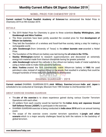# NOBEL PRIZE FOR CHEMISTRY 2019

<span id="page-28-0"></span>**Current context:** The **Royal Swedish Academy of Sciences** has announced the Nobel Prize in Chemistry 2019 on 9th October 2019.

#### DETAILS

- The 2019 Nobel Prize for Chemistry is given to three scientists **Stanley Whittingham, John Goodenough and Akira Yoshino.**
- The three scientists have been jointly awarded the coveted prize for their **development of lithium-ion batteries.**
- They laid the foundation of a wireless and fossil-fuel-free society, taking a step for making a rechargeable world.
- **John Goodenough** (from University of Texas) is the **oldest laureate ever** awarded a Nobel Prize.
- The foundation of the lithium-ion battery was laid during the **oil crisis in the 1970s.**
- **Stanley Whittingham** started to research superconductors and discovered an extremely energy-rich material made from titanium disulphide having far greater potential.
- **John Goodenough** replaced the cathode in the Lithium-ion battery made of metal sulphide by using a metal oxide to make more powerful batteries.
- <span id="page-28-1"></span> **Akira Yoshino** created the first commercially viable lithium-ion battery in **1985**. He used petroleum coke, instead of reactive lithium in the anode, that resulted in a battery that could be charged hundreds of times before its performance deteriorated.

# DHARMA GUARDIAN – 2019

**Current context:** DHARMA GUARDIAN-2019, **Joint Military Exercise** between **India and Japan** is scheduled to be conducted at Vairengte, Mizoram from 19th October to 2nd November 2019.

#### ABOUT EXERCISE DHARMA GUARDIAN

- The **aim of the exercise** is to share experience gained during various Counter Terrorism Operations with each other.
- 25 soldiers from each country would be teamed for the **Indian Army and Japanese Ground Self Defence Forces (JGSDF)**, to participate in the exercise.
- DHARMA GUARDIAN exercise is being conducted in **India since 2018** and is an annual training event.
- <span id="page-28-2"></span> The scope of the exercise covers counter terrorism operations in **jungle and urban scenario** which is a major security challenges faced by both the nations in the backdrop of global terrorism.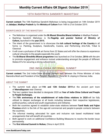# 10TH RASHTRIYA SANSKRITI MAHOTSAV

**Current context:** The 10th Rashtriya Sanskriti Mahotsav is being inaugurated on 14th October 2019 at **Jabalpur, Madhya Pradesh** by the **Ministry of Culture** from 14th to 21st October 2019.

#### SIGNIFICANCE OF THE MAHOTSAV

- The Mahotsav is organised under the **Ek Bharat Shrestha Bharat initiative** in Madhya Pradesh
- Rashtriya Sanskriti Mahotsav is the **flagship and premier festival of Ministry of Culture,** launched in the **year 2015.**
- The intent of the government is to showcase the **rich cultural heritage of the Country** in all forms i.e. Painting, Sculpture, Handicrafts, Cuisine, and Performing Arts-Folk, Tribal & Classical.
- It will cover a profusion of folk art forms from 22 States and will offer the chance to experience cultural virtuosity to the people-especially the youth.
- <span id="page-29-0"></span> The **Ek Bharat Shreshtha Bharat programme** was launched on 31st October, **2016** with the aim to promote engagement and enhance mutual understanding amongst the people of different States/UTs for securing a strong cultural bond.

# 2ND INDIA-CHINA INFORMAL SUMMIT

**Current context:** The 2nd India-China Informal Summit held between the Prime Minister of India Narendra Modi and President of the People's Republic of China Mr Xi Jinping in Chennai, India.

#### ABOUT THE SUMMIT

- The summit took place on **11th and 12th October 2019** at the ancient port town of **Mamallapuram** near Chennai.
- The two Leaders have decided to designate 2020 as **Year of India-China Cultural and People to People Exchanges.**
- The **70th anniversary of the establishment of India-China relations in 2020** will be fully utilized to deepen exchanges at all levels including between their respective legislatures, political parties, cultural and youth organizations and militaries.
- Both the countries agreed to establish sister-state relations between **Tamil Nadu and Fujian Province** which is the link of the age-old commercial and people-to-people contacts between the countries.
- The informal meeting advocated for open and inclusive rule based multilateral trade arrangements that will benefit all countries.
- Both agreed to work on additional Confidence Building Measures to resolve the border issue permanently.
- The **first Informal Summit in Wuhan,** China in April 2018.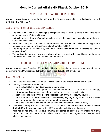# 2019 FIRST GLOBAL DXB CHALLENGE

<span id="page-30-0"></span>**Current context: Dubai** will host the 2019 First Global DXB Challenge, which is scheduled to be held 24th to 27th October 2019.

## ABOUT 2019 FIRST GLOBAL DXB CHALLENGE

- The **2019 First Global DXB Challenge** is a large gathering for creative young minds in the fields of robotics and artificial intelligence.
- It **aims** to address the world's most critical environmental issues such as pollution, wastage of water, sustainability etc.
- More than 1,500 youth from over 191 countries will participate in the challenge, having passion for science, technology, engineering, and mathematics (STEM).
- The competition is organised by the **Dubai Future Foundation** and the **theme is 'Ocean Opportunities'.**
- <span id="page-30-1"></span> The participating team will be given a **robotic kit** and is tasked with assembling a robot able to address various issues related to ocean and marine life.

# MOUS SIGNED BETWEEN INDIA AND SIERRA LEONE

**Current context:** Vice President, M. Venkaiah Naidu on his visit to Sierra Leone has signed 6 agreements with **Mr Julius Maada Bio**, President of the Republic of Sierra Leone.

- This is the first-ever visit of an Indian Vice President to the **African Nation,** Sierra Leone.
- The major agreements signed are:
	- 1. India will establish a **High Commission** in Sierra Leone.
	- 2. Both the countries have agreed to enhance cooperation in Information Technology, infrastructure development, agriculture, food processing and capacity building.
	- 3. Both decided to build on the existing cooperation at **UNSC** (UN Security Council).
	- 4. India announced a **Line of Credit of \$ 30 million** by signing an agreement with the EXIM bank for Irrigation development in Tomabum for rice production.
	- 5. India has extended **e-Visa facility** to Sierra Leone nationals for ease of mobility.
- India was among the first countries to contribute to the **UN Mission in Sierra Leone (UNAMSIL)** with the deployment of the 4000 strong Indian Military contingents.
- <span id="page-30-2"></span>• India has so far provided the developmental assistance of about \$ 217.5 million to Sierra Leone for various sectors including water resources, agriculture, energy and telecommunication.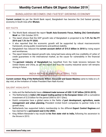## BANGLADESH BECOMES 2ND FASTEST GROWING ECONOMY

**Current context:** As per the World Bank report, Bangladesh has become the 2nd fastest growing economy in South Asia after **Bhutan.**

#### KEY FACTS

- The World Bank released the report **'South Asia Economic Focus, Making (De) Centralization Work'** on 13th October 2019.
- The report shows that the GDP growth rate of Bangladesh is projected to be **7.2% for the FY 2019 and 7.3% for FY 2020.**
- It also reported that the economic growth will be supported by robust macroeconomic framework, strong public investments and political stability.
- Bangladesh has reduced the **current account deficit of \$15.5 billion in 2018** by rising export and remittances.
- The report listed low deposit growth rate, rising bad loans along with low credibility of Letter of credit guarantees in the international market, as the cause for vulnerability in the financial sector.
- <span id="page-31-0"></span> The **garment industry of Bangladesh** has benefited from the trade tensions between the United States and China, as per the report and thus the country industrial sector will remains strong in future.

# INDIA-NETHERLANDS BILATERAL TIES

**Current context: King of the Netherlands Willem-Alexander and Queen Maxima** came to India on a 5 day visit, at the invitation of Indian President Ram Nath Kovind.

#### SALIENT HIGHLIGHTS

- India and the Netherlands have a **bilateral trade turnover of USD 12.87 billion (2018-2019).**
- The Netherlands is **India's 4th largest trading partner in the European Union** with a cumulative investment of \$ 23 billion for the period 2000 to 2017 (Dec).
- Dutch companies have a global name in the fields of **port development, agriculture, waste management and urban planning.** President invited Dutch companies to partner India in its growth story.
- Netherlands has supported India's membership to the different **Export Control Regimes** and has claimed for a **permanent seat in the UNSC.**
- <span id="page-31-1"></span> King Willem-Alexander's trip would be **his first state visit to India,** following his ascension to the throne in 2013.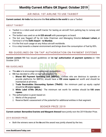# AIR INDIA: 1ST AIRLINE TO USE TAXIBOT

**Current context: Air India** has become the **first airline in the world** to use a Taxibot.

#### ABOUT TAXIBOT

- Taxibot is a robot-used aircraft tractor for taxiing an aircraft from parking bay to runway and vice-versa.
- The taxibot was used on an **A-320 aircraft** with passengers on board.
- The bot was flagged off by Air India Chairman and Managing Director **Ashwani Lohani,** at Terminal 3 of the **Delhi Airport - to Mumbai.**
- It is the first such usage on any Airbus aircraft worldwide.
- <span id="page-32-0"></span>• It is a step towards a cleaner environment and brings down the consumption of fuel by 85%.

# RBI GUIDELINES ON 'ON TAP' AUTHORISATION ON PAYMENT SYSTEMS

**Current context:** RBI has issued guidelines on **'on tap' authorisation of payment systems** on 15th October 2019.

#### RBI GUIDELINES

- The **aim** is to encourage innovation and competition.
- RBI has decided to offer on-tap authorisation for:
	- 1. **Bharat Bill Payment Operating Unit (BBPOU)** Entities who are desirous to operate or provide platforms for BBPOU, should have a **100 crore rupees** net worth and should be maintained at all times.
	- 2. **Trade Receivables Discounting System (TReDS)** the minimum paid up equity capital should be **25 crore rupees.**
	- **3. White Label ATMs (WLAs)** The minimum net worth for entities should be **100 crore rupees.**
- <span id="page-32-1"></span> The authorisation is given based on:
	- 1. Merits of the proposal
	- 2. Reserve Bank's assessment of the potential for additional entities in that segment.

## BOOKER PRIZE 2019

**Current context: Bernardine Evaristo and Margaret Atwood** have jointly won the 2019 Booker Prize.

#### 2019 BOOKER PRIZE

Both the winners were at the **tie** and the award was jointly shared by the two.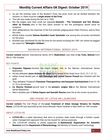- As per the existing rules of the Booker's Prize, the prize must not be divided between the winners i.e. there must be a **single winner of the Prize.**
- The rule was made during the last tie in 1992.
- But the judges said, they could not separate **Atwood's - 'The Testament' and 'Girl, Woman, other' by Evaristo,** who is the first black woman to win the prestigious award since its inception.
- After deliberations, the chairman of the five-member judging panel, Peter Florence, said to flout the rules.
- British Indian novelist **Salman Rushdie's book 'Quichotte'** was among the six books shortlisted for the prize.
- <span id="page-33-0"></span> Rushdie was shortlisted for the 5th time for the award including the 1981 win where he bagged the award for **"Midnight's Children".**

## BAHRAIN INTERNATIONAL SERIES 2019

**Current context:** Bahrain International Series 2019 (**Badminton**) was held at **Isa Town, Bahrain** from 9th to 13th October.

**PAARIT** 

#### KEY POINTS

- **Priyanshu Rajawat** clinched the men's singles title at the Bahrain International Series Badminton.
- He has defeated **Jason Anthony Ho-Shue** from Canada in the finals from 16-21, 21-7, 21-12.
- Indian mixed double pair of **Juhi Dewangan and Venkat Gaurav Prasad** also finished with the gold.
- They defeated Thailand's **Pannawat Theerapanitnun and Kanyanat Sudchoeichom** from 21-18, 21-16 in 34 minutes.
- **Ira Sharma finished** second best in the **women's singles title** at the Bahrain International Series Badminton.
- <span id="page-33-1"></span>Men's doubles pair of **Rohan Kapoor and Saurabh Sharma** were the at the runner-up position.

# 2ND PHASE OF LOTUS-HR LAUNCHED

**Current context:** The 2nd Phase of the **Local Treatment of Urban Sewage Streams for Healthy Reuse,** LOTUS-HR was launched by the Union Minister Harsh Vardhan in New Delhi on 14th October.

#### ABOUT LOTUS-HR

- **LOTUS-HR** is a water laboratory that aims to produce clean water through a holistic wastewater management approach that can be reused for various purposes.
- The LOTUS-HR initiative is jointly supported by **Netherlands Organisation for Scientific Research** and the **Department of Biotechnology,** the Ministry of Science and Technology.

**www.BankExamsToday.com** 33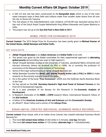- A 200 m2 test site has been constructed on the **Barapullah drain,** which is one of the main water transport ways in New Delhi and collects water from smaller water drains from all over the city, to dump into Yamuna.
- The 2nd phase of the India-Netherland Joint initiative LOTUS-HR was launched during the 5 day visit of the Dutch Royal Couple Netherlands King Willem-Alexander and Queen Maxima to India.
- <span id="page-34-0"></span>The project was set up at the **Sun Dial Park in New Delhi in 2017.**

# NOBEL PRIZE FOR ECONOMICS 2019

**Current Context:** The 2019 Nobel Prize for Economics has been jointly given to **Michael Kremer of the United States, Abhijit Banerjee and Esther Duflo.**

#### KEY HIGHLIGHTS

- **Abhijit Vinayak Banerjee** is an **Indian-American** and **Esther Duflo** is his wife.
- The award was given by the Nobel committee for their experimental approach to **alleviating global poverty** and providing new ways to fight against it.
- Abhijit Vinayak Banerjee studied at the University of Calcutta, Jawaharlal Nehru University and Harvard University (where he received his PhD in 1988). He is currently the professor of economics at the Massachusetts Institute of Technology.
- Some of the major achievements of Abhijit Vinayak Banerjee are:
- Abhijit Banerjee founded the **Abdul Latif Jameel Poverty Action Lab (J-PAL) in 2003** to make research on the poverty scenario around the globe.
- He is the author of the book **"Poor Economics"** which won the Goldman Sachs Business Book of the Year.
- He has served on the **U.N. Secretary-General's High-level Panel of Eminent Persons** on the Post-2015 Development Agenda.
- He is a past president of the Bureau for the Research in the **Economic Analysis of Development.**
- A Research Associate of the **NBER**, a **CEPR** research fellow, International Research Fellow of the **Kiel Institute.**
- A fellow of the **American Academy of Arts and Sciences** and the **Econometric Society.**
- <span id="page-34-1"></span>An Alfred P. Sloan Fellow and a winner of the **Infosys Prize.**

# KIRAN UNIYAL CREATED INDIVIDUAL GUINNESS WORLD RECORDS

**Current context:** Kiran Uniyal, wife of an Indian Army Colonel, has created Individual Guinness World Records for:

- 1. The most **full contact knee strikes** of 263 strike in 3 minutes, (**one leg**) (female).
- 2. The most **full contact knee strikes** of 120 strikes, **alternate legs** in 1 minute(female).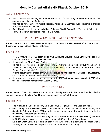#### ABOUT KIRAN UNIYAL

- She surpassed the existing 226 knee strikes record of male category record in the most full contact knee strikes for 3 minutes.
- She has so far achieved **15 World Records,** including 10 Guinness World Records in Martial Arts, Social Work and Fitness.
- <span id="page-35-0"></span> Kiran Uniyal created her **1st Individual Guinness World Record** for "The most full contact elbow strikes (466 strikes) (one hand) in 3 minutes.

# J.P.S. CHAWLA ASSUMES CHARGE AS NEW CGA

**Current context: J.P.S. Chawla** assumed charge as the new **Controller General of Accounts** (CGA), Department of Expenditure, Ministry of Finance.

#### KEY POINTS

- J. P. S. Chawla is a 1985-batch **Indian Civil Accounts Service (ICAS) Officer,** officiating as CGA with effect from **1st September 2019.**
- He has replaced **Girraj Prasad Gupta.**
- He has also served on deputation with 1. The Delhi Development Authority (DDA) and served as Director (Finance) in the 2. Indraprastha Power Generation Company Limited (IPGCL) and Pragati Power Limited (PPL).
- Prior to assuming the charge of CGA, he has served as **Principal Chief Controller of Accounts,** Central Board of Indirect Taxes & Customs (CBIC).
- <span id="page-35-1"></span> He also played a key role in the integration of the **IGST refund payment network** of CBIC with the Public Financial Management System (PFMS).

# WORLD FOOD DAY

**Current context:** The Union Minister for Health and Family Welfare Dr Harsh Vardhan launched a various initiative on the **World Food Day** which was observed on **16th October.**

## SIGNIFICANCE

- The initiatives include Food Safety Mitra Scheme, Eat Right Jacket and Eat Right Jhola.
- **Food Safety Mitra Scheme (FSM):** The scheme is introduced by the Food Safety and Standards Authority of India (**FSSAI**) with the aim to engage motivated individuals with the food safety ecosystem at ground level.
- A FSM is an individual professional (**Digital Mitra, Trainer Mitra and Hygiene Mitra**), certified by FSSAI, who will assist in compliances related to FSS Act, Rules & Regulations.
- **Eat Right Smart Jacket:** is to give an identity to FSSAI staff with a software embedded with a RFID tag, to capture entry of inspection staff into premise for monitoring.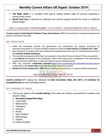- **'Eat Right Jhola':** is a reusable cloth bag to replace plastic bags for grocery shopping in various retail chains.
- **World Food Day** is observed to dedicate and commit people around the world to eradicate global hunger.

## <span id="page-36-0"></span>CBIC LAUNCHED PROGRAMME TO ATTRACT INVESTMENTS INTO INDIA

**Current context: Central Board of Indirect Taxes and Customs** (CBIC) has launched a revamped programme to attract investments into India.

#### KEY HIGHLIGHTS

- Under the revamped scheme, the government has streamlined the existing provisions for manufacturing goods in a custom bonded warehouse under the **bond scheme, of Customs Act, 1962.**
- Now importers can import both input material and capital goods and carry out manufacturing activity at the **Customs bonded warehouse.**
- The manufactured goods will be free from payment of any kind of duty or interest if they are exported.
- It will **improve** the liquidity of the companies, make Indian export price competitive in the international market, promote investments in India and enhance ease of doing business.
- CBIC has launched a **dedicated microsite** <https://www.investindia.gov.in/bonded-manufacturing> in collaboration with **Invest India** to provide information about the scheme.
- <span id="page-36-1"></span>**Section 65 of the Customs Act, 1962 allows manufacturing activity in a customs bonded warehouse.**

# INDIA INNOVATION INDEX 2019

**Current context:** NITI Aayog has released the **India Innovation Index (III) 2019,** with **Institute for Competitiveness** as the knowledge partner.

#### KEY FINDINGS OF INDEX

- The top ten states in the **overall ranking** of the index are (mainly concentrated in southern and western India):
	- **1. Karnataka (topped the Index)**
	- 2. Tamil Nadu
	- 3. Maharashtra
	- 4. Telangana
	- 5. Haryana
	- 6. Kerala
	- 7. Uttar Pradesh
	- 8. West Bengal
	- 9. Gujarat
	- 10. Andhra Pradesh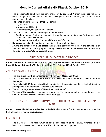- The index **aims** to benchmark the performance of **29 state and 7 Union territories** with each other through a holistic tool to identify challenges in the economic growth and promote competitive federalism.
- The states are bifurcated into **three categories:**
	- 1. Major states
	- 2. North-east, and hill states
	- 3. Union territories/city states/small states.
- The index is calculated as the average of **2 dimensions:**
	- 1. **Enablers:** Human Capital, Investment, Knowledge Workers, Business Environment, and Safety and Legal Environment.
	- 2. **Performance:** Knowledge Output and Knowledge Diffusion
- **Karnataka** ranked at the number one position in the **overall ranking.**
- <span id="page-37-0"></span> Among the category of **major states, Maharashtra** performs the best in the dimension of Enablers. **Sikkim** took the top spots among the **northeastern & hill states,** and **Delhi** among the **union territories/city states/small states.**

# JOINT EXERCISE EX-EASTERN BRIDGE-V

**Current context:** EX-EASTERN BRIDGE-V, the **joint exercise between the Indian Air Force (IAF) and Royal Air Force of Oman (RAFO),** has started from 17th October till 26th October 2019.

#### ABOUT EX-EASTERN BRIDGE-V NAME AND RELEASE

- The joint exercise will be conducted at Air Force Base **Masirah in Oman.**
- The last exercise, EX-EASTERN BRIDGE-IV between the two countries was held **in 2017 at Jamnagar.**
- From India**, MiG-29 fighter aircraft** will participate in the exercise and this is the first time it is participating in an International Exercise outside India.
- The IAF contingent comprises of **MiG-29 and C-17 aircraft.**
- The **aim of the exercise** is to enhance inter-operability during mutual operations between the two Air Forces and learn each other's best practices.

## <span id="page-37-1"></span>RIL BECAME 1ST INDIAN COMPANY TO HIT RS 9 LAKH CRORE M-CAP MARK

**Current context:** The **Reliance Industries Limited** (RIL) become the first Indian company to cross the Rs 9 lakh crore of **market capitalization.**

#### KEY HIGHLIGHTS

 The RIL shares rose nearly **2%** in Friday trading session to hit Rs1,423 whereas, India's benchmark Sensex Index rose 0.5% or 200 points to hit 39,252 points.

**www.BankExamsToday.com** 37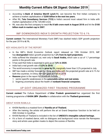- According to **Bank of America Merrill Lynch** RIL can become the first Indian company to achieve a market capitalisation of **\$200 billion in the next two years.**
- After RIL, **Tata Consultancy Services (TCS)** is India's second most valued firm in India with market capitalization of Rs 7,69,483 crore.
- <span id="page-38-0"></span> RIL was also the first company to reach **Rs 8 lakh crore mark in August 2018** and hit the **\$100 billion mark in market-cap in 2007.**

# IMF DOWNGRADES INDIA'S GROWTH PROJECTION TO 6.1%

**Current context:** The International Monetary Fund (IMF) has slashed India's GDP growth projection for the year 2019 to **6.1%.**

## KEY HIGHLIGHTS OF THE REPORT

- In the IMF's World Economic Outlook report released on 15th October 2019, IMF has **downgraded** India's growth projection by **1.2% from its April projections.**
- India suffered the sharpest cut, next only to **Saudi Arabia**, which saw a cut of 1.7 percentage points in the growth rate.
- It has said that India is expected to pick up at **7.0% in 2020.**
- **India had a real growth rate of 6.8% in 2018.**
- The world economy is expected to **grow by 3%,** marginally lower than 3.2% projected in July.
- IMF has made a similar forecast for China and India, with the projected growth rate at 6.1% for both the countries. In China, the GDP grew at 6.6% in 2018.
- <span id="page-38-1"></span> **Reasons** given in the report for slowdown include:
	- 1. sector-specific weaknesses in the **automobile sector and real estate.**
	- 2. lingering uncertainty about the health of **nonbank financial companies.**

## UP GOVT ORGANIZED FIRST TRAINING PROGRAMME

**Current context:** The Culture Department of **Uttar Pradesh government** has organized the first training programme of **KHON (खोन )Ramlila** in collaboration with the **Thailand government.**

#### ABOUT KHON RAMLILA

- KHON Ramlila is a masked form of **Ramlila art of Thailand.**
- After the training, the artists will perform the art at Grand Deepotsav function to be held on 26th October in Ayodhya.
- KHON Ramlila of Thailand is included in the list of **UNESCO's Intangible cultural heritage.**
- It's a form of masked dance, with no dialogues and background voice narrate the Ramayana story and artists uses golden masks to depict the scenes of Ramlila.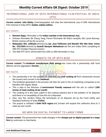## <span id="page-39-0"></span>INTERNATIONAL JURY OF 50TH INTERNATIONAL FILM FESTIVAL OF INDIA (IFFI)

**Current context: John Bailey,** Cinematographer will chair the International Jury of 50th International Film Festival of India (IFFI), **Golden Jubilee edition.**

#### KEY POINTS

- **Ramesh Sippy,** Filmmaker is the **Indian member in the International Jury.**
- Chinese filmmaker Mr Zhang Yang, French filmmaker Mr Robin Campillo, Ms Lynne Ramsay, British cinema will be the co-jurors.
- **Malayalam film Jallikattu** directed by **Lijo Jose Pellissery and Marathi film Mai Ghat: Crime No. 103/2005** directed by **Ananth Narayan Mahadevan** are the two Indian films competing at 50th IFFI (Golden Peacock Award.).
- <span id="page-39-1"></span>The 50th IFFI 2019, will be held from 20th to 28th November in Goa.

# ZOMATO TIE UP WITH BIOD

**Current context:** The **biodiesel manufacturer BioD energy** has come into a partnership with food delivery service aggregator **Zomato.**

#### KEY FACTS

- The partnership is for the purpose of collecting the **used cooking oil** from restaurants around the country and convert it into **biodiesel.**
- The biodiesel generated in the process will then be sold to the oil marketing companies to be blended with regular diesel.
- This a step in the direction of **environment friendly measure** with the aim to collect **1,000 tonnes of used cooking oil per month.**
- The cooking oil is the main culprit in the cooking industry due to the problem of its disposal and there is no traceability of how the oil is disposed.
- Also, very few vendors follow the techniques of oil disposal set by the Food safety and Standard Authority of India (**FSSAI**).
- <span id="page-39-2"></span> The project is initiated in **Delhi NCR region** and Zomato will expand the collection drive to 5 cities by next month.

## NO MDR ON DIGITAL PAYMENT TO LARGE FIRMS

**Current context:** The government has made changes in the **charges put on digital payment to a large firm** by customers or merchants.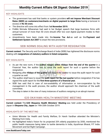#### KEY HIGHLIGHTS

- The government has said that banks or system providers **will not impose Merchant Discount Rates (MDR) on customers/merchants on digital payment to large firms** having a turnover in excess of **Rs 50 crore.**
- The directive will come into effect from **1st November 2019.**
- FinMin Nirmala Sitharaman had said in her Budget speech that large business firms with annual turnover of more than 50 crore should offer low cost digital payment modes to their customers.
- <span id="page-40-0"></span> Amendments have been made into the **Income Tax Act** as well as the **Payment and Settlement System Act 2007** to enact the new provisions.

## SEBI NORMS DEALING WITH AUDITOR RESIGNATION

**Current context:** The Security and Exchange Board of India (SEBI) has tightened the disclosure norms dealing with **resignations of statutory auditors in listed companies.**

#### KEY HIGHLIGHTS

- As per the new norm, if the **auditor resigns within 45days from the end of the quarter** in a Financial Year, the auditor has to issue the audit report for such a quarter before the resignation.
- Resigning after **45days of the quarter** will require the auditor to issue the audit report for such a quarter as well.
- The auditor shall have to issue the **audit report for the last quarter** before resignation if he has signed the audit report for the **first three quarters of a financial year.**
- SEBI has said that in case of non-availability of information or non-cooperation by the management in the audit process, the auditor should approach the chairman of the audit committee.
- <span id="page-40-1"></span>The step is taken in the view of many instances of auditors resigning in an abrupt manner.

## G20 OKAYAMA HEALTH MINISTERS' MEETING

**Current context:** The **G20 Okayama Health Ministers' Meeting** was held under the Presidency of Japan in **Okayama City, Japan** on 19th-20th October 2019.

#### HIGHLIGHTS OF THE MEETING

- Union Minister for Health and Family Welfare, Dr Harsh Vardhan attended the Minister's Meeting from India.
- He highlighted India's Vision for its projected 20% elderly population by 2050, mentioned the public health measures being taken to tackle dementia in India, Ayushman Bharat, FIT India Movement and Eat Right Campaign.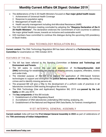- The deliberations of the G 20 Health Ministers focused on **four major global health issues:**
	- 1. Achievement of Universal Health Coverage
	- 2. Response to population aging
	- 3. Management of health risks
	- 4. Health security management including Anti-Microbial Resistance (AMR)
- The G20 Health Ministers meeting concluded by adopting the **"Okayama Declaration of the G 20 Health Ministers".** The declaration endorses the Commitment of G20 countries to address the major global health issues, towards an inclusive and sustainable world.
- <span id="page-41-0"></span> G20 members have committed to continue this dialogue during the upcoming G20 presidency in Saudi Arabia.

# DNA TECHNOLOGY REGULATION BILL

**Current context:** The DNA Technology Regulation Bill has been referred to a **Parliamentary Standing Committee** for examination on 19th October 2019.

#### FEATURES OF THE BILL

- The bill has been referred to the Standing Committee on **Science and Technology and Environment and Forests.**
- The bill seeks to control the use and application of the **Deoxyribonucleic Acid (DNA)** technology for establishing the identity of missing persons, suspects, offenders, victims and under-trials.
- The intended purpose of the bill is to expand the application of DNA-based forensic technologies to support and strengthen the **justice delivery system of the country,** like solving crimes and to identify missing persons etc.
- The proposed Bill will give a fillip to the development of a uniform code of practices in all laboratories involved in DNA testing throughout the country.
- The DNA Technology (Use and Application) Regulation Bill, 2019 was **passed by the Lok Sabha** on 8th July 2019.
- The **key components** of this Bill include:
	- 1. Establishment of a DNA Regulatory Board
	- 2. Accreditation of DNA laboratories undertaking DNA testing, analysing, etc.
	- 3. Establishment of the National and Regional DNA Data Banks, for forensic investigations

# 91ST INTERPOL GENERAL ASSEMBLY

<span id="page-41-1"></span>**Current context:** India will host the **91st Interpol General Assembly in 2022** as part of celebrations of the **75th anniversary of Indian Independence.**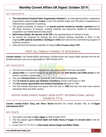#### KEY HIGHLIGHTS

- **The International Criminal Police Organisation (Interpol)** is an international police cooperation organisation, based in **Lyon, France.** It has 194 member states and 100 years of experience of international cooperation in policing.
- The general assembly of Interpol is an **annual exercise hosted by member countries** and all the major decisions of finances, working methods and resources needed for international cooperation are deliberated and discussed.
- **Rishi Kumar Shukla, the director of the CBI** is the representative of Interpol in India.
- He moved the proposal for hosting the 91st Interpol General Assembly in 2022, in the ongoing **88th general assembly in Santiago in Chile** and received the overwhelming support of member countries.
- <span id="page-42-0"></span> $\bullet$  India will host the General Assembly of Interpol after 25 years since 1997.

## FIRST ALL-FEMALE PAIRING TO SPACEWALK

**Current context:** Two female NASA astronauts, Christina Koch and Jessica Meir, became the first allfemale pairing to carry out a spacewalk on 18th October 2019.

#### KEY HIGHLIGHTS

- The first such mission was scheduled to take place in March but was cancelled.
- **Jessica Meir** is a marine biologist has now become the **15th Women and 228th person** in the world to conduct a spacewalk.
- This was **Christina Koch's** 4th spacewalk, who is an electrical engineer.
- The **1st women in space was Valentina Tereshkova,** Soviet cosmonaut in 1963.
- The **first woman spacewalker was Svetlana Savitskaya** (Russia) in 1982.
- <span id="page-42-1"></span> The first female astronaut into space from US was in **1983** and has now had more women astronauts than any other country.

# KUHOO GARG-DHRUV RAWAT WON EGYPT INTERNATIONAL MIXED DOUBLES TITLE

**Current context: Kuhoo Garg and Dhruv Rawat** clinched the mixed doubles title at the **Egypt International 2019.**

#### KEY POINTS

- The match was held in **Cairo, Egypt** on 20th October 2019.
- The two played against **Ahmed Salah and Hadia Hosny of Egypt,** the **second seed** in the all-Indian final.
- It was 16-21 21-19 19-21 to **third seeds Simran Singhi and Ritika Thaker.**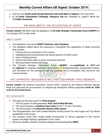- And win over **fourth seeds Koceila Mammeri and Linda Mazri of Algeria** in the semi-final.
- <span id="page-43-0"></span> At the **Dubai International Challenge, Rituparna Das** was defeated to Japan's World No. 208 **Mako Urushizaki.**

# PM MODI MEETS THE DELEGATION OF USISPF

**Current context:** PM Modi meet the delegation of **US-India Strategic Partnership Forum (USISPF)** on 21st October 2019 in New Delhi.

#### ABOUT USISPF

- The delegation was led by **USISPF Chairman John Chambers.**
- The delegation talked about the measures to strengthen the capabilities of Indian Economy that includes:
	- 1. Evolving start-up ecosystem in the country,
	- 2. Highlighting the entrepreneurial risk taking capacity of India's youth.
	- 3. Ease of doing business
	- 4. Government steps taken to boost innovation potential
	- 5. Solving problems using technology
- The US-India Strategic Partnership Forum (**USISPF**) was **established in 2017** with the **objective** of creating meaningful opportunities of entrepreneurship, employment-creation, and innovation for the citizens of both the countries and to strengthen their economic and commercial ties.

# <span id="page-43-1"></span>DAC APPROVED INDIGENOUS MILITARY EQUIPMENT PROCUREMENT

**Current context:** The Defence Acquisition Council (DAC), chaired by the Defence Minister Rajnath Singh has approved the procurement of indigenously developed military equipment **worth Rs 3300 crore for the armed forces.**

- The approval has been given for **three projects:**
	- 1. The first project is third-generation **Anti-Tank Guided Missiles.**
	- 2. The second project is **Auxiliary Power Units** for the T-72 and T-90 tanks.
	- 3. The third project is the **Electronic Warfare (EW) system.**
- The third-generation Anti-Tank Guided Missiles would provide Fire and Forget and Top Attack capabilities to the troops.
- The Auxiliary Power Units would enable incorporation of various upgrades to Fire Control System and Night Fighting capabilities of the Tanks.
- Electronic Warfare systems would be designed and developed by **DRDO.**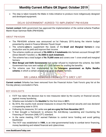<span id="page-44-0"></span> The step is taken towards the Make in India initiative to produce more indigenously designed and developed equipment.

## DELHI GOVERNMENT AGREED TO IMPLEMENT PM-KISAN

**Current context:** Delhi government has approved the implementation of the central scheme Pradhan Mantri Kisan Samman Nidhi (PM-KISAN).

#### ABOUT PM-KISAN

- The PM-KISAN scheme was announced on 1st February 2019, during the interim budget presented by stand-in Finance Minister Piyush Goyal.
- The scheme **aims** to supplement the needs of the **Small and Marginal farmers** in crop production and its yield and improve their income.
- The scheme credits an amount of **Rs 6000 in 3 instalments** into farmers account through DBT (Direct Benefit Transfer) i.e. **Rs 2000 in each instalment.**
- The scheme has a total budget of **Rs 75,000 crore** and covers over 1 crore small and marginal farmers.
- **West Bengal and Delhi Governments** had earlier refused to implement the scheme. But Delhi Government has now sent names of 11,000 farmers for availing the benefits.
- <span id="page-44-1"></span> The scheme was first implemented by the **Telangana government as Rythu Bandhu**  scheme, in which a certain amount was given to eligible farmers.

# SRI LANKA REMOVED FROM FATF'S GREY LIST

**Current context:** Srilanka has been removed from the Financial Action Task Force's grey list at the five-day plenary concluded in Paris.

- FATF has taken the decision due to new measures taken by the country on financial security against money laundering.
- Srilanka was included in the **blacklist** for the first time in **2011.**
- By 2016, the country took several measures to ensure the financial security and was declared a cooperating state in 2016.
- Following its measures, Sri Lanka was **put on a grey list from November 2017.**
- It then brought a framework to enhance the Anti-Money Laundering and Countering the Financing of Terrorism (AML/CFT) standard.
- In the same meeting, FATF warned Pakistan to control terror funding and avoid getting blacklisted.
- The FATF was established in **1989,** is an inter-governmental body to combat terror financing, money laundering and related financial and cybercrimes.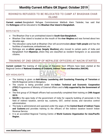## <span id="page-45-0"></span>ROHINGYA REFUGEES TO BE RELOCATED TO CAMP AT BHASHAN CHAR ISLAND

**Current context:** Bangladesh Refugee Commissioner Mahbub Alam Talukder, has said that the **Rohingyas** will be relocated to the **Bhashan Char Island in Bangladesh.**

#### KEYS FACTS

- The Bhashan Char is an uninhabited island in **South-East Bangladesh.**
- Bhashan Char island is located on the mouth of the **river Meghna** and was formed about two decades ago.
- The relocation camp built at Bhashan Char will accommodate **about 1lakh people** and has the facilities of warehouse, embankment, etc.
- Rohingya are an **ethnic group (largely Muslims),** who moved to certain parts of India and Bangladesh from **Myanmar,** where they are classified as resident foreigners or as associate citizens.

# <span id="page-45-1"></span>TRAINING OF 2ND GROUP OF NEPALESE OFFICERS AT NACIN STARTED

**Current context:** The training of 2nd group of Nepalese Govt Officers have been started at the Regional Centre of **National Academy of Customs, Indirect Taxes and Narcotics (NACIN).**

- The training is given on **Anti-Money Laundering and Countering Financing of Terrorism** at NACIN Regional centre in Bengaluru.
- The course is being provided under the **Indian Technical and Economic Cooperation (ITEC)** Programme of Ministry of External Affairs and is **fully supported by the Government of India.**
- The first group of 20 Nepali officers had successfully completed their training on **24th August 2019.**
- **NACIN** is the apex body of the government of India for capacity building of personals in the field of indirect taxation, service tax, customs, GST, central excise, and narcotics control administration.
- The body is administered and operated under the aegis of the **Central Board of Indirect Taxes and Customs** and provides training to the officers of the indirect taxation branch Indian Revenue Service.
- <span id="page-45-2"></span> It is an accredited Regional Training Centre of **World Customs Organization for Asia/Pacific Region.**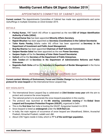# APPOINTMENTS COMMITTEE OF CABINET (ACC)

**Current context:** The Appointments Committee of Cabinet has made new appointments and some reshufflings in multiple ministries on 22nd October 2019.

#### DETAILS

- **Pankaj Kumar,** 1987 batch IAS officer is appointed as the new **CEO of Unique Identification Authority of India (UIDAI).**
- **Pramod Kumar Das** has been appointed **Minority Affairs Secretary.**
- **Rajesh Bhushan** has been appointed as **Secretary (Coordination) in the Cabinet Secretariat.**
- **Tuhin Kanta Pandey,** Odisha cadre IAS officer has been appointed as **Secretary in the Department of Investment and Public Asset Management.**
- **Braj Raj Sharma** has been appointed **Chairman of Staff Selection Commission.**
- **Sanjeev Nandan Sahai** has been appointed as the new **Power Secretary.**
- **Sanjeev Gupta** will be the **Secretary of Inter-State Council Secretariat.**
- **Sailesh** will be the **Secretary of the Department of Public Enterprises.**
- **Alok Tandon** will be **Secretary in the Department of Administrative Reforms and Public Grievances.**
- <span id="page-46-0"></span> **Nagendra Nath Sinha** will be the **Secretary in Department of Border Management** in the Home Ministry.

# INTERNATIONAL SNOW LEOPARD DAY

**Current context: Ministry of Environment, Forest and Climate Change** has launched the **first national protocol for snow leopard** on the International Snow Leopard Day.

- The International Snow Leopard Day is celebrated on **23rd October every year** with the aim to protect and conserve the snow leopards.
- The national portal is to enumerate the snow leopard population in the country.
- The protocol was launched at the **4th steering committee meeting** of the **Global Snow Leopard and Ecosystem Protection Program (GSLEP),** organized in Delhi.
- This is the **first time** that India is hosting the GSLEP. Kyrgyzstan hosted it in 2018.
- Snow leopard is listed as **endangered** under the **IUCN Red List.**
- In India, the main regions of occurrence of snow leopard are Uttarakhand, Sikkim, Arunachal Pradesh, Himachal Pradesh, Ladakh and J&K.
- <span id="page-46-1"></span>About 2,967 tigers reside in India, which is **77 % of the world tiger population.**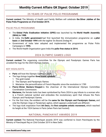# 25 YEARS OF PULSE POLIO PROGRAMME

**Current context:** The Ministry of Health and Family Welfare will celebrate **the Silver Jubilee of the Pulse Polio Programme on 31st October 2019.**

#### PULSE POLIO PROGRAMME

- The **Global Polio Eradication Initiative (GPEI)** was launched by the **World Health Assembly (WHA) in 1988.**
- In India, the **Delhi government** had first launched the immunization programme on a **pilot basis** on **2nd October 1994** with the tagline 'Do Boond Zindagi Ki'.
- Government of India later adopted and implemented the programme as Pulse Polio Campaigns in **1995.**
- <span id="page-47-0"></span>The World Health Organization gave India the **polio-free status in 2014.**

# 2024 OLYMPIC GAMES LOGO

**Current context:** The organising committee for the Olympic and Paralympic Games Paris has unveiled the logo for the 2024 Olympic Games.

#### KEY HIGHLIGHTS

- **Paris** will host the Olympic Games in 2024.
- The logo brings together **three iconic symbols:**
	- 1. The gold medal
	- 2. The Olympic and Paralympic flames
	- 3. Marianne- the personification of French Republic since the revolution in 1789
- **Pierre-Olivier Beckers-Vieujant** is the chairman of the International Olympic Committee Coordination Commission.
- **Marianne,** the female traits has been symbolised by Paris 2024 to pay tribute to a woman who is a French national symbol and embodies the revolutionary spirit that infuses the Paris Olympic and Paralympic Games.
- For the first time, the emblem will be the **same for the Olympic and Paralympic Games,** and only the Olympic rings or Paralympic agitos, which appears underneath are different.
- <span id="page-47-1"></span> The logo took inspiration from **Art Deco,** the **first complete artistic movement,** which reached its height at the 1924 Games in Paris (when Paris last hosted).

# NATIONAL PANCHAYAT AWARDS 2019

**Current context:** The National Panchayat awards 2019 was conferred to Gram Panchayats by the Minstry of Panchayati Raj on 23rd October 2019 in New Delhi.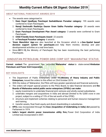#### ABOUT NATIONAL PANCHAYAT AWARDS 2019

- The awards were categorised in:
	- 1. **Deen Dayal Upadhyay Panchayat Sashaktikaran Puraskar category-** 195 awards were conferred to Gram Panchayats
	- 2. **Nanaji Deshmukh Rashtriya Gaurav Gram Sabha Puraskar category-** 20 awards were conferred to Gram Panchayats
	- 3. **Gram Panchayat Development Plan Award category-** 3 awards were conferred to Gram **Panchayats**
	- 4. **Child-Friendly Gram Panchayats Award-** 22 awards
	- 5. **e-Panchayat Puraskar category** 6 awards
- **'Gram Manchitra' App** was also launched at the Occasion which is a **Geo-Spatial based decision support system for panchayats** and help them monitor, develop and plan developmental activities on a real time basis.
- Since **2011-12,** the Ministry of Panchayati Raj has been incentivizing the best performing Panchayats.

# <span id="page-48-0"></span>HINDUSTAN PETROLEUM, POWER GRID CORP GOT 'MAHARATNA' STATUS

**Current context:** The government has accorded **'Maharatna' status** to state-owned **Hindustan Petroleum and Power Grid Corporation.**

- The Department of Public Enterprises, under the **Ministry of Heavy Industry and Public Enterprises,** issued the orders to this effect on 23rd October 2019.
- With the status of 'Maharatna', the PSUs will have greater operational and financial autonomy.
- The orders will impart special powers to the PSUs Board, to take financial decisions and **the Boards of Maharatna central public sector enterprises (CPSEs) can make:**
	- 1. equity investments to undertake financial joint ventures and wholly owned subsidiaries.
	- 2. undertake mergers and acquisitions in India and abroad (limited to Rs 5,000 crore in one project, subject to a ceiling of 15% of the net worth of the CPSE).
	- 3. structure and implement schemes relating to personnel and human resource management and training.
	- 4. transfer assets, float fresh equity and divest shareholding in subsidiaries.
- **HPCL** was incorporated through the **Esso (Acquisition of Undertaking in India) Act** passed by Parliament in 1974.
- <span id="page-48-1"></span> **India's largest electric power transmission utility firm,** Power Grid Corporation of India Limited was incorporated in 2007.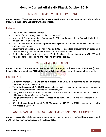# GEM SIGNED MOU WITH FEDERAL BANK

**Current context:** The **Government e-Marketplace (GeM**) signed a memorandum of understanding (MoU) with the **Federal Bank for Payment Services.**

#### DETAILS

- The MoU has been signed to offer:
- Transfer of funds through GeM Pool Accounts (GPA)
- Advising of Performance Bank Guarantees (e-PBG) and Earnest Money Deposit (EMD) to the registered users on the portal.
- The MoU will provide an efficient **procurement system** for the government with the cashless and paperless transfer.
- Government launched GeM portal in **August 2016** for seamless procurement of goods and services by the government departments in a transparent manner.
- <span id="page-49-0"></span> GeM is also working with other banks, Trade Receivable Discounting System (TReDS), and SIDBI to offer bill discounting and financing of working capital.

# BSNL, MTNL TO BE MERGED

**Current context:** The government has approved the merger of loss-making PSUs **BSNL** (Bharat Sanchar Nigam Limited) and **MTNL** (Mahanagar Telephone Nigam Limited) to revive their growth.

#### **SIGNIFICANCE**

- As per the merger, **MTNL will act as a subsidiary of BSNL** (both together holds 14% market share in mobile business in India).
- The **revival package of Rs 70,000 crore** includes raising sovereign bonds, monetising assets and voluntary retirement scheme (VRS) for employees.
- The government will also put Rs 29,937 crore to the telecom companies and will raise Rs 15,000 crore through Sovereign Bonds.
- The government will also **allocate 4G spectrum to BSNL and MTNL** and will allocated at 2016 price.
- <span id="page-49-1"></span> BSNL had an **estimated loss of Rs 13,804 crore in 2018-19** and MTNL losses pegged to **Rs 3,400 crore in 2018-19.**

## WORLD BANK SIGNED LOAN AGREEMENT FOR ODISHA FARMERS

**Current context:** The Odisha state government, Government of India and the World Bank have signed a **\$165 million loan agreement** on 24th October 2019.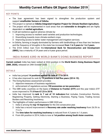#### KEY POINTS

- The loan agreement has been signed to strengthen the production system and support **smallholder farmers of Odisha.**
- The project is named an **Odisha Integrated Irrigation Project for Climate Resilient Agriculture.**
- The project will be implemented in rural areas that are **vulnerable to droughts** and are highly dependent on **rainfed agriculture.**
- It will aid resilience against adverse climate by:
	- 1. Improving access to resilient seed varieties and production technologies.
	- 2. Diversifying towards more climate-resilient crops.
	- 3. Improving access to better water management and irrigation services.
- In Odisha, farming is largely dominated by farmers with landholdings of less than two hectares and the frequency of droughts in the state has increased **from 1 in 5 years to 1 in 2 years.**
- <span id="page-50-0"></span> The \$165 million loan from the **International Bank for Reconstruction and Development (IBRD),** has a maturity of 24 years and a 6-year grace period.

## INDIA RANKS 63RD IN WORLD BANK'S DOING BUSINESS REPORT

**Current context:** India has been ranked at 63rd position in the **World Bank's Doing Business Report (DBR, 2020),** released on 24th October 2020.

**SHOW AT ALL ALL AND APPLY AT** 

#### **DETAILS**

- India has jumped **14 positions against its rank of 77 in 2019.**
- It has also improved its rank by 79 positions in last five vears (2014-19).
- The Doing Business assessment provides:
	- 1. objective measures of business regulations
	- 2. enforcement of regulations across **190 economies on ten parameters**
- The DBR ranks countries on the basis of **Distance to Frontier (DTF)** and this year India's DTF score improved to **71.0 from 67.23 in 2018.**
- India has improved its rank in 7 out of 10 indicators that includes Construction Permits, Registering Property, Getting Electricity, Starting a Business, Paying Taxes, Trading Across Borders and Resolving Insolvency.
- <span id="page-50-1"></span> The highlights of India's performance in DBR 2020 are:
	- 1. India is among the **top 10 improvers** for the 3rd consecutive year.
	- 2. India has a record improvement in **Recovery rate under resolving insolvency** from 26.5% to 71.6 %.
	- 3. The **time taken for resolving insolvency** is reduced from 4.3 years to 1.6 years.
	- 4. From 6th position in 2014, India is now at **1st position among South Asian countries.**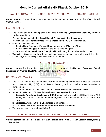# PRAVEEN KUMAR: 1ST INDIAN TO WIN WUSHU WORLD CHAMPIONSHIPS

**Current context:** Praveen Kumar became the 1st Indian man to win gold at the Wushu World Championships.

#### KEY HIGHLIGHTS

- The 15th edition of the championship was held in **Minhang Gymnasium in Shanghai, China** on 23rd October 2019.
- Praveen Kumar has defeated **Russel Diaz of Philippines in the 48kg category.**
- Praveen had earlier defeated Uzbekistan's **Khasan Ikromov** 2-0 in the semi-final.
- Other Indian Winners include:
	- 1. **Sanathoi Devi** (women's 52kg) and **Poonam** (women's 75kg) won Silver.
	- 2. **Vikrant Baliyan** bagged the bronze in the men's 60kg category.
	- 3. India ranked **3rd overall in the Championship** with one gold, two silver and a bronze.
- <span id="page-51-0"></span> **Wushu** is a Chinese martial art that includes close-range punches and kicks, full-contact kickboxing, throws, sweeps, takedowns and Kicks catch.

# NATIONAL CSR AWARDS

**Current context:** President Ram Nath Kovind has conferred the **National Corporate Social Responsibility Awards (NCSRA)** on 29th October 2019 in New Delhi.

#### NATIONAL CSR AWARDS

- The NCSRA is conferred to companies for their outstanding contribution in area of Corporate Social Responsibility (CSR) to achieve inclusive growth and inclusive and sustainable development.
- The National CSR Awards has been instituted by **the Ministry of Corporate Affairs.**
- A total of 20 National CSR Awards have been in **3 categories** that are:
	- 1. **Corporate Awards for Excellence in CSR:** Companies have eligible CSR Spend above 100 crores, between 10 crores and 99.99 crores, between 1 crores and 9.99 crores, below 100 crores.
	- **2. Corporate Awards in CSR in Challenging Circumstances.**
	- **3. Corporate awards for Contribution to National Priority Schemes.**
- <span id="page-51-1"></span>The Awards have been instituted in **2017.**

## INDIA RANKED 57TH IN GLOBAL HEALTH SECURITY INDEX

**Current context:** India has been ranked at **57th Position in the Global Health Security Index,** among 195 countries.

**www.BankExamsToday.com** 51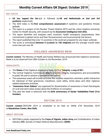#### KEY FACTS

- **US has topped the list** and is followed by **UK and Netherlands at 2nd and 3rd positions** respectively.
- The GHS Index is the **first comprehensive assessment** of epidemic and pandemic threats globally.
- The report is a project of the Nuclear Threat Initiative (NTI) and the Johns Hopkins University Center for Health Security, with research by the **Economist Intelligence Unit (EIU).**
- The report identifies and analyses each countries' health emergency preparedness, their commitment to global norms and their Socioeconomic and environmental risk factors.
- The report published that only 13 countries in the world are prepared for any major outbreak.
- <span id="page-52-0"></span> The score is normalised **between 0 (Lowest) to 100 (Highest)** and the average overall index score was just over 40.

## VIGILANCE AWARENESS WEEK

**Current context:** The Ministry of Health and Family Welfare has announced that Vigilance Awareness Week is to be observed from 28th October to 2nd November, 2019.

#### **HIGHLIGHTS**

- The **theme** of the Vigilance Awareness Week 2019 is **"Integrity- a way of life".**
- The Central Vigilance Commission **aims** to promote integrity, transparency and accountability in public life and to achieve a corruption free society.
- The awareness week will include activities like surprise inspection, seminars, public interaction for redressal of their grievances, marathons, cycle rallies, street plays and other vigilance related awareness activities.
- **"Awareness Gram Sabhas"** are organized for dissemination of awareness in Gram Panchayats (in rural and semi-urban areas) about the ill-effects of corruption.
- <span id="page-52-1"></span> This year the week is observed with the **birth anniversary of Sardar Vallabhbhai Patel (31st October).**

## DEFCOM 2019

**Current context:** DEFCOM 2019 is scheduled to be held on 26th& 27th November 2019 at **Manekshaw Centre, New Delhi.**

#### ABOUT DEFCOM

 DEFCOM is jointly organised by the **Corps of Signals, Indian Army** and Confederation of Indian Industry (**CII**)/ Society of Indian Defence Manufacturers (**SIDM**).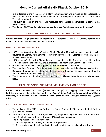- It is a flagship event in the area of **military communication** and symposium for collaboration between the Indian armed forces, research and development organisations, Information Technology Industries.
- The event stresses on the need and measures for **seamless communication between the three services.**
- <span id="page-53-0"></span>The **theme** of DEFCOM 2019 is **"Communications as a Decisive Catalyst for Jointness".**

# NEW LIEUTENANT GOVERNORS APPOINTED

**Current context:** The government has appointed the Lieutenant Governors of Jammu-Kashmir and Ladakh and Governor of Mizoram on 26th October 2019.

#### NEW LIEUTENANT GOVERNORS

- 1985-batch Gujarat cadre IAS officer **Girish Chandra Murmu** has been appointed as **Lt. Governor of Jammu-Kashmir** who is currently serving as the Expenditure Secretary in the Union Finance Ministry.
- 1977-batch IAS officer **R K Mathur** has been appointed as Lt. Governor of Ladakh. He has served as the Defence Secretary and is a former Chief Information Commissioner (CIC).
- **P.S. Sreedharan Pillai** has been appointed the new **Governor of Mizoram.**
- The incumbent Governor of the Jammu and Kashmir **Satya Pal Malik has been moved to Goa.**
- **Dineshwar Sharma,** former interlocutor to Jammu and Kashmir has been appointed as the the **administrator of Lakshadweep.**
- <span id="page-53-1"></span> The Union territories of Ladakh and Jammu-Kashmir will come into existence on **31st October 2019.**

## EASE OF DOING BUSINESS-IMPLEMENTATION OF RFID

**Current context:** Minister of State (Independent Charge) for **Shipping and Chemicals and Fertilizers,** Mansukh Mandaviya, inaugurated the **Ease of Doing Business-Implementation of Radio Frequency Identification (RFID)** based **Port Access Control System (PACS)** at Kolkata Dock System (KDS).

#### ABOUT RADIO FREQUENCY IDENTIFICATION

- The total cost of the RFID-based Port Access Control System (PACS) for Kolkata Dock System is around Rs **17 crore.**
- RFID based Port Access Control System (PACS) will provide **single window system** to the Port users for obtaining **permit/ pass through 100% cashless transaction.**
- The RFID project has been launched for:
	- 1. Eliminating manual checking of documents at port gate.
	- 2. Secure and systematic entry and exit of vehicles and visitors in Kolkata Dock System.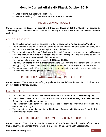- 3. Ease of doing business with Port users.
- <span id="page-54-0"></span>4. Real time tracking of movement of vehicles, men and materials.

## INDIGEN GENOME PROJECT

**Current context:** The **Council of Scientific & Industrial Research (CSIR), Ministry of Science & Technology** has conducted Whole Genome Sequencing of 1,008 Indian under the **IndiGen Genome project.**

#### ABOUT THE PROJECT

- CSIR has led human genomic sciences in India for studying the **"Indian Genome Variation".**
- The outcomes of the IndiGen will be utilized towards understanding the genetic diversity on a population scale and enable genetic epidemiology of diseases.
- The Union Minister of Science & Technology Dr Harsh Vardhan, has launched the **IndiGenome card and IndiGenome mobile application** to enable participants and clinicians to access clinically actionable information in their genomes.
- The IndiGen initiative was undertaken by **CSIR in April 2019.**
- The **IndiGen Genome project** is implemented by the CSIR-Institute of Genomics and Integrative Biology (IGIB), Delhi and CSIR-Centre for Cellular and Molecular Biology (CCMB), Hyderabad.
- <span id="page-54-1"></span>• The outcomes of the IndiGen will have vast area of applications including preventive medicine, efficient diagnosis of rare genetic diseases.

# RUDRASHILA: WHITE WATER RAFTING EXPEDITION

**Current context:** The white water rafting expedition- **'Rudrashila'** was flagged in on 25th October 2019 at **Jodhpur Military Station.**

#### KEY HIGHLIGHTS

- The expedition is undertaken by **Kalidhar Battalion** to commemorate its **75th Raising Day.**
- The soldiers covered a total distance of over 140km from **Rudraprayag to Rishikesh** in river Ganga along Uttarakhand mountains.
- The expedition was conducted to prepare the soldiers to overcome adversities with determination and grit.
- <span id="page-54-2"></span> The expedition was flagged in by **Lieutenant General VS Sreenivas,** General Officer Commanding Konark Corps.

## 29TH BASIC MINISTERIAL MEET ON CLIMATE CHANGE

**Current context:** The 29th ministerial meeting of the **BASIC (Brazil, South Africa, India, China)** countries on Climate Change was held at **Beijing, China** on 25th-26th October 2019.

**www.BankExamsToday.com** 54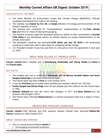#### HIGHLIGHTS OF THE MEET

- The Union Minister for Environment, Forest and Climate Change (MoEF&CC), Prakash Javadekar participated from India in the meeting.
- The meeting was **chaired by H.E. Mr. LI Ganjie,** Minister of Ecology and Environment of the People's Republic of China.
- The meeting was conducted for "Comprehensive" implementation of the **Paris climate deal** after the U.S. threat of leaving the grouping.
- The member countries urged the developed nations to deliver on their commitment to **provide \$100 billion** to the developing nations as climate finance for proper implementation of the climate action plan.
- The developed countries has promised **\$100 billion per year till 2020** to the developing countries to make them able to take steps for mitigating climate change.
- <span id="page-55-0"></span> U.S. President Donald Trump has said that U.S. will pull-out from the agreement in next year i.e. 2020.

## INDIA WON SILVER AT FRENCH OPEN

**Current context:** Men's doubles pair of **Satwiksairaj Rankireddy and Chirag Shetty** won **silver** at the **French Open.**

#### KEY FACTS

- The doubles pair lost to world No.1 **Indonesian pair of Marcus Fernaldi Gideon and Kevin Sanjaya Sukamuljo** in the finals of the French Open.
- The French Open was held in **Paris** on 27th October 2019.
- It was the **first time** that an Indian men's doubles pair reached a World Tour 750 final.

 $\mathbb{D} = \mathbb{E} \times \mathbb{E} \times \mathbb{E} \times \mathbb{E} \times \mathbb{E} \times \mathbb{E} \times \mathbb{E} \times \mathbb{E} \times \mathbb{E} \times \mathbb{E} \times \mathbb{E} \times \mathbb{E} \times \mathbb{E} \times \mathbb{E} \times \mathbb{E} \times \mathbb{E} \times \mathbb{E} \times \mathbb{E} \times \mathbb{E} \times \mathbb{E} \times \mathbb{E} \times \mathbb{E} \times \mathbb{E} \times \mathbb{E} \times \mathbb{E} \times \mathbb{E} \times \mathbb{E$ 

- **Partho Ganguli and Vikram Singh** were the last doubles pair from India to win the French Open in 1983.
- **Kidambi Srikanth** has won the men's title (Singles) in 2017 and **Saina Nehwal** won the women's title (Single) in 2012.
- <span id="page-55-1"></span> The French Open (officially **Roland-Garros**) is a tennis tournament held over 2 weeks in Paris, France.

## ODISHA-MO PARIVAR LAUNCHED

**Current context:** Chief Minister and BJD supremo Naveen Patnaik have launched **'Odisha-Mo Parivar'** initiative on 26th October 2019.

#### ABOUT 'ODISHA-MO PARIVAR'

- This is a social service initiative **aimed** at:
	- 1. Encouraging environment protection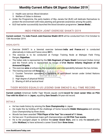- 2. Health care service: Blood donation
- 3. Welfare of Odias in distress
- Under the Programme, the party leaders of Biju Janata Dal (BJD) will dedicate themselves to protect the environment with trees planting and generate awareness among the public.
- <span id="page-56-0"></span>BJD had earlier successfully launched the blood donation programme **'Jeevan Bindu'.**

## INDO-FRENCH JOINT EXERCISE SHAKTI-2019

**Current context:** The **Indo-French Joint Exercise Shakti-2019** will be conducted from 31st October to 13th November 2019.

#### **HIGHLIGHTS**

- Exercise SHAKTI is a biennial exercise between **India and France** and is conducted alternatively in India and France since **2011.**
- The exercise is to be conducted at Foreign Training Node at Mahajan Field Firing Ranges, **Rajasthan.**
- The Indian side is represented by the **Sikh Regiment of Sapta Shakti** Command (Indian Army) and the French army is represented by troops of **21st Marine Infantry Regiment of 6th Armoured Brigade.**
- The exercise **aims** at enhancing the cooperation and interoperability between the two Armies.
- The training exercise will **focus** on:
	- 1. Counter Terrorism operations in backdrop of semi-desert terrain under United Nations Mandate
	- 2. High degree of physical fitness
	- 3. Sharing of drill at tactical level

# <span id="page-56-1"></span>TIGER WOODS EQUALS US LEGEND SAM SNEAD'S ALL-TIME RECORD

**Current context:** American Golfer Tiger Woods equals world **record for most career titles on PGA Tour with his 82nd** win in **Japan,** equalling **Sam Snead's** 54-year-old record.

#### DETAILS

- He has made history by winning the **Zozo Championship** in Japan.
- He made this by holding off the challenge of home favourite **Hideki Matsuyama** and winning Zozo Championship by three shots.
- Woods has been awarded **"PGA Player of the Year" for a record of 11 times.**
- He has won 15 professional major golf championships and **82 PGA Tour events.**
- He is the youngest player to achieve the **career Grand Slam,** and is only the **second** golfer (after **Nicklaus**) to have achieved a career Grand Slam **three times.**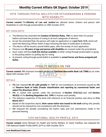## <span id="page-57-0"></span>VOTE THROUGH POSTAL BALLOTS FOR OCTAGENARIANS & PERSONS WITH DISABILITY

**Current context:** The **Ministry of Law and Justice** has allowed senior citizens and person with disabilities to vote through postal ballots on 28th October 2019.

#### KEY HIGHLIGHTS

- The Ministry has amended the **Conduct of Election Rules, 1961** to allow them for postal ballots and ease the process of voting to all such categories of electors.
- As per the amended Rule, the person will make an application in a **new Form 12 D,** which will reach the Returning Officer within 5 days following the date of notification of election.
- The elector will be issued a postal ballot paper, after the receipt of such application.
- Persons over **80 years of age and person with disability** are covered under the amendment.
- Such voters will have **both the choices available** of either voting through postal ballot or going to the polling station on polling day for voting.
- <span id="page-57-1"></span> At present, voting through postal ballot is available to **armed forces and those assigned poll duties.**

# PENALTY IMPOSED ON TMB

**Current context:** RBI imposed monetary penalty on **Tamilnad Mercantile Bank Ltd (TMB)** by an order dated 24th October 2019.

#### DETAILS

- RBI has imposed **Rs 35 Lakh penalty** on TMB for non-compliance of provisions issued by RBI on **"Reserve Bank of India (Frauds classification and reporting by commercial banks and select FIs) directions 2016".**
- RBI is vested with powers under the provisions of **Section 47A(1)(c)** read with **Section 46(4)(i)** of the **Banking Regulation Act, 1949** to impose such penalty.
- The statutory inspection of the bank with reference to its financial position was done on **31st March 2017.**
- Based on the inspection report, **show cause notice was issued to the bank** asking why penalty should not be imposed for non-compliance with the directions.
- <span id="page-57-2"></span> RBI imposed the penalty considering the bank's reply and oral submissions made in the personal hearing.

# 14TH NATIONAL HEALTH PROFILE, 2019

**Current context:** Union Minister for Health and Family Welfare, Dr Harsh Vardhan, has released the 14th National Health Profile (NHP) 2019 on 30th October 2019.

**www.BankExamsToday.com** 57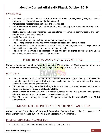#### **SIGNIFICANCE**

- The NHP is prepared by the **Central Bureau of Health Intelligence (CBHI)** and covers comprehensive information on **major indicators** of:
- **Demographic indicators** (population and vital statistics)
- **Socio-economic indicators** (education, employment, housing and amenities, drinking water and sanitation)
- **Health status indicators** (incidence and prevalence of common communicable and noncommunicable diseases and RCH)
- Health finance indicators
- Health infrastructure and health of human resources in the country
- The NHP is published **since 2005 by the Ministry of Health and Family Welfare.**
- The data released helps to strategize area-specific interventions, enables the policymakers to make evidence-based policies and understanding the goals.
- <span id="page-58-0"></span> The **e-book of NHP** was also released by the ministry, as **digital documents** give us an opportunity for wider dissemination of information.

## MINISTRY OF RAILWAYS SIGNED MOU WITH ISB

**Current context:** Ministry of Railways has signed a Memorandum of Understanding (MoU) with the **Indian School of Business (ISB)** for a strategic partnership on 30th October 2019.

#### **HIGHLIGHTS**

- The comprehensive MoU for **Executive Education Programs** covers creating a future-ready leadership pool for the Indian Railways and developing research opportunities, developing case studies and pedagogical materials.
- ISB has been training the Indian Railway officers for their mid-career training requirements through its **Centre for Executive Education (CEE).**
- **Indian School of Business (ISB)** is a global business school that provides management education across its two campuses – Hyderabad and Mohali.
- <span id="page-58-1"></span> The ISB is one among the select 100 global b-schools to have **AACSB and EQUIS accreditation.**

## 2ND ASSEMBLY OF INTERNATIONAL SOLAR ALLIANCE (ISA)

**Current context:** The **Ministry of New and Renewable Energy** is hosting the 2nd Assembly of International Solar Alliance (ISA) on 30th & 31st October 2019 in **New Delhi.**

#### INTERNATIONAL SOLAR ALLIANCE (ISA)

The Assembly is the supreme decision making body of the ISA.

**www.BankExamsToday.com** 58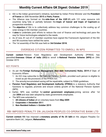- ISA is the Indian government's initiative, launched by Indian Prime Minister and the **President of France** on 30th November **2015** at **Paris, France.**
- The Alliance was formed on the **side-lines of the COP-21**, with 121 solar resource rich countries lying fully or partially between the **tropic of Cancer and tropic of Capricorn** as prospective members.
- The **objective** of ISA is to collectively address key common challenges to the scaling up of solar energy in ISA member countries.
- It **aims** to undertake joint efforts to reduce the cost of finance and technology and pave the way for future technologies adapted to the needs.
- As of now, 81 out of 21 member countries have signed the Framework Agreement of the ISA and 58 countries have ratified the same.
- <span id="page-59-0"></span>The 1st assembly of the ISA was held on **3rd October 2018.**

# OVERSEAS CITIZEN PERMITTED TO ENROLL IN NPS

**Current context:** Pension Fund Regulatory and Development Authority (PFRDA) has permitted **Overseas Citizen of India (OCI)** to enroll in **National Pension Scheme (NPS)** on 29th October 2019.

#### KEY POINTS

- As per the **Foreign Exchange Management (Non-debt Instruments) Rules, 2019** of Dept. of Economic Affairs:
	- 1. An OCI may subscribe to the National Pension System, provided such person is eligible to invest as per the provisions of the PFRDA Act.
	- 2. The annuity/accumulated saving will be repatriable, subject to FEMA guidelines.
- **Pension Fund Regulatory and Development Authority (PFRDA)** is a statutory Authority that functions to regulate, promote and ensure orderly growth of the National Pension System (NPS).
- Earlier, NPS was notified for **central government employees** joining service after 1st Jan **2004** and was later adopted by state governments employees.
- The NPS was extended to:
	- 1. **All citizens of Indian** all on voluntary basis from **May 2009**
	- 2. **Corporates** in **December 2011**
	- 3. **Non-Resident Indians** in **October 2015**

# <span id="page-59-1"></span>RBI IMPOSED PENALTY ON JALGAON PEOPLES CO-OPERATIVE BANK LTD

**Current context:** RBI has imposed a **monetary penalty of Rs 25 lakh** on the Jalgaon Peoples Cooperative Bank Ltd., Jalgaon, **Maharashtra.**